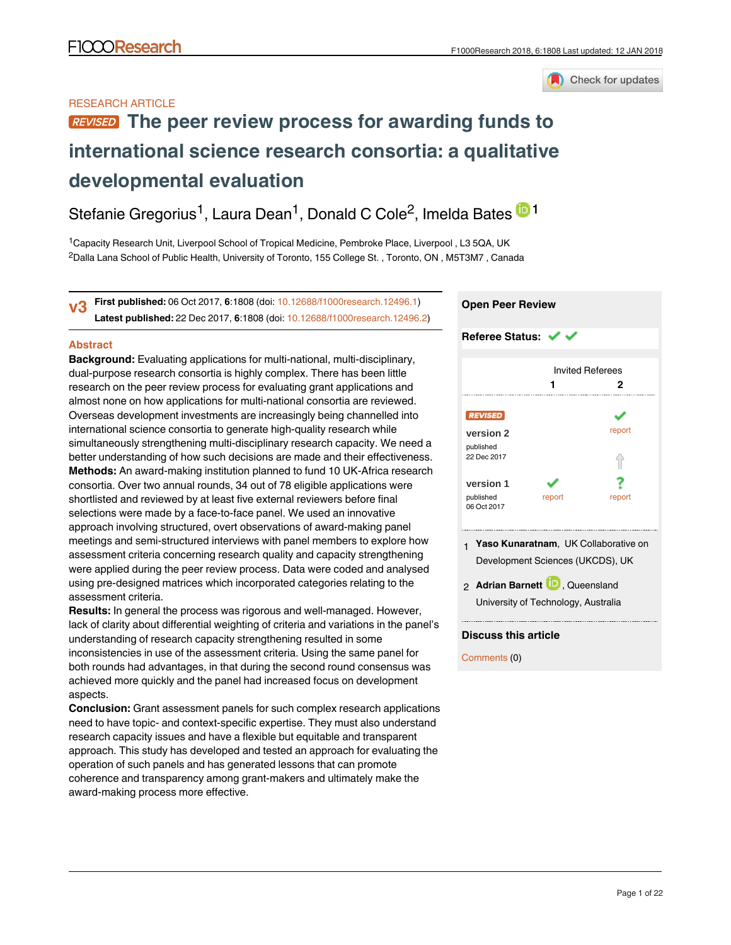

# RESEARCH ARTICLE

# **[The peer review process for awarding funds to](https://f1000research.com/articles/6-1808/v3) [international science research consortia: a qualitative](https://f1000research.com/articles/6-1808/v3) [developmental evaluation](https://f1000research.com/articles/6-1808/v3)**

Stefanie Gregorius<sup>1</sup>, Laura Dean<sup>1</sup>, Donald C Cole<sup>2</sup>, Imelda Bates <sup>in 1</sup>

<sup>1</sup> Capacity Research Unit, Liverpool School of Tropical Medicine, Pembroke Place, Liverpool, L3 5QA, UK  $^2$ Dalla Lana School of Public Health, University of Toronto, 155 College St. , Toronto, ON , M5T3M7 , Canada

**First published:** 06 Oct 2017, **6**:1808 (doi: [10.12688/f1000research.12496.1\)](http://dx.doi.org/10.12688/f1000research.12496.1) **Latest published:** 22 Dec 2017, **6**:1808 (doi: [10.12688/f1000research.12496.2\)](http://dx.doi.org/10.12688/f1000research.12496.2) **v3**

# **Abstract**

**Background:** Evaluating applications for multi-national, multi-disciplinary, dual-purpose research consortia is highly complex. There has been little research on the peer review process for evaluating grant applications and almost none on how applications for multi-national consortia are reviewed. Overseas development investments are increasingly being channelled into international science consortia to generate high-quality research while simultaneously strengthening multi-disciplinary research capacity. We need a better understanding of how such decisions are made and their effectiveness. **Methods:** An award-making institution planned to fund 10 UK-Africa research consortia. Over two annual rounds, 34 out of 78 eligible applications were shortlisted and reviewed by at least five external reviewers before final selections were made by a face-to-face panel. We used an innovative approach involving structured, overt observations of award-making panel meetings and semi-structured interviews with panel members to explore how assessment criteria concerning research quality and capacity strengthening were applied during the peer review process. Data were coded and analysed using pre-designed matrices which incorporated categories relating to the assessment criteria.

**Results:** In general the process was rigorous and well-managed. However, lack of clarity about differential weighting of criteria and variations in the panel's understanding of research capacity strengthening resulted in some inconsistencies in use of the assessment criteria. Using the same panel for both rounds had advantages, in that during the second round consensus was achieved more quickly and the panel had increased focus on development aspects.

**Conclusion:** Grant assessment panels for such complex research applications need to have topic- and context-specific expertise. They must also understand research capacity issues and have a flexible but equitable and transparent approach. This study has developed and tested an approach for evaluating the operation of such panels and has generated lessons that can promote coherence and transparency among grant-makers and ultimately make the award-making process more effective.

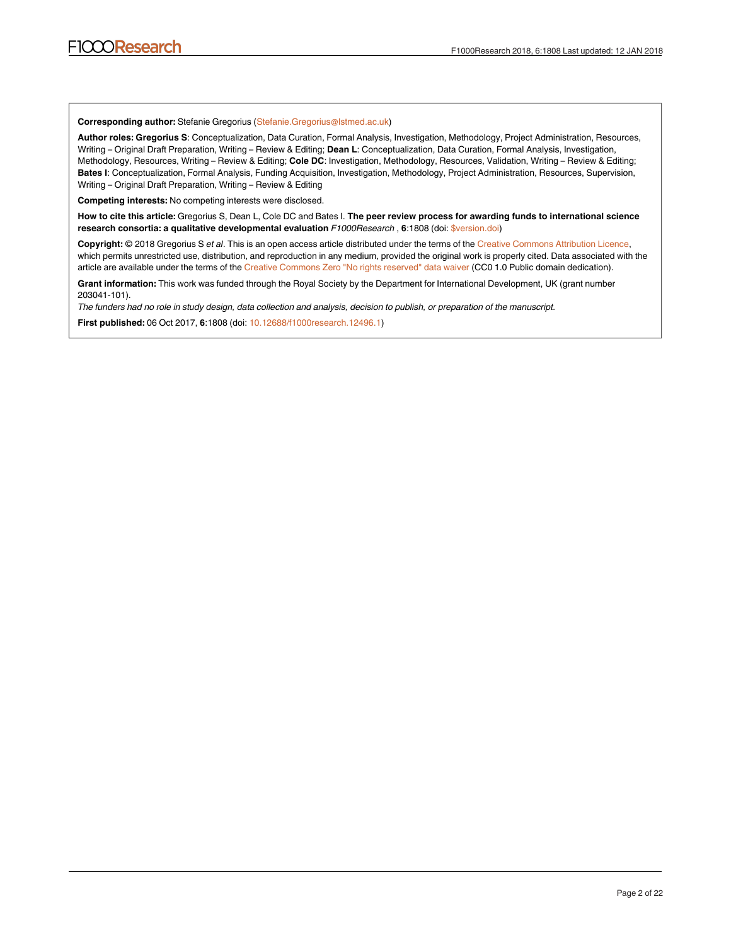**Corresponding author:** Stefanie Gregorius (Stefanie.Gregorius@lstmed.ac.uk)

**Author roles: Gregorius S**: Conceptualization, Data Curation, Formal Analysis, Investigation, Methodology, Project Administration, Resources, Writing – Original Draft Preparation, Writing – Review & Editing; **Dean L**: Conceptualization, Data Curation, Formal Analysis, Investigation, Methodology, Resources, Writing – Review & Editing; **Cole DC**: Investigation, Methodology, Resources, Validation, Writing – Review & Editing; **Bates I**: Conceptualization, Formal Analysis, Funding Acquisition, Investigation, Methodology, Project Administration, Resources, Supervision, Writing – Original Draft Preparation, Writing – Review & Editing

**Competing interests:** No competing interests were disclosed.

**How to cite this article:** Gregorius S, Dean L, Cole DC and Bates I. **The peer review process for awarding funds to international science research consortia: a qualitative developmental evaluation** *F1000Research* , **6**:1808 (doi: [\\$version.doi](http://dx.doi.org/$version.doi))

**Copyright:** © 2018 Gregorius S *et al*. This is an open access article distributed under the terms of the [Creative Commons Attribution Licence,](http://creativecommons.org/licenses/by/4.0/) which permits unrestricted use, distribution, and reproduction in any medium, provided the original work is properly cited. Data associated with the article are available under the terms of the [Creative Commons Zero "No rights reserved" data waiver](http://creativecommons.org/publicdomain/zero/1.0/) (CC0 1.0 Public domain dedication).

**Grant information:** This work was funded through the Royal Society by the Department for International Development, UK (grant number 203041-101).

*The funders had no role in study design, data collection and analysis, decision to publish, or preparation of the manuscript.*

**First published:** 06 Oct 2017, **6**:1808 (doi: [10.12688/f1000research.12496.1](http://dx.doi.org/10.12688/f1000research.12496.1))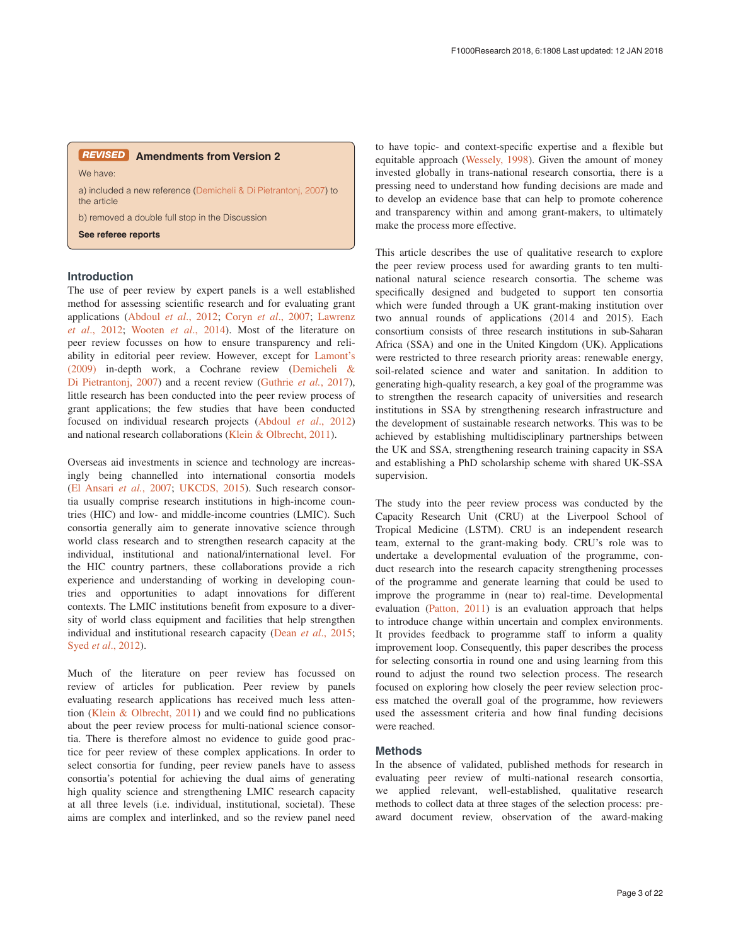# **Amendments from Version 2** *REVISED*

We have:

a) included a new reference [\(Demicheli & Di Pietrantonj, 2007](#page-12-0)) to the article

b) removed a double full stop in the Discussion

**See referee reports**

# **Introduction**

The use of peer review by expert panels is a well established method for assessing scientific research and for evaluating grant applications (Abdoul *et al*., 2012; Coryn *et al*[., 2007; Lawrenz](#page-12-0)  *et al*[., 2012; Wooten](#page-12-0) *et al*., 2014). Most of the literature on peer review focusses on how to ensure transparency and reliability in editorial peer review. However, except for [Lamont's](#page-12-0)  [\(2009\)](#page-12-0) in-depth work, a Cochrane review [\(Demicheli &](#page-12-0)  [Di Pietrantonj, 2007](#page-12-0)) and a recent review ([Guthrie](#page-12-0) *et al.*, 2017), little research has been conducted into the peer review process of grant applications; the few studies that have been conducted focused on individual research projects ([Abdoul](#page-12-0) *et al*., 2012) and national research collaborations ([Klein & Olbrecht, 2011](#page-12-0)).

Overseas aid investments in science and technology are increasingly being channelled into international consortia models ([El Ansari](#page-12-0) *et al.*, 2007; [UKCDS, 2015](#page-12-0)). Such research consortia usually comprise research institutions in high-income countries (HIC) and low- and middle-income countries (LMIC). Such consortia generally aim to generate innovative science through world class research and to strengthen research capacity at the individual, institutional and national/international level. For the HIC country partners, these collaborations provide a rich experience and understanding of working in developing countries and opportunities to adapt innovations for different contexts. The LMIC institutions benefit from exposure to a diversity of world class equipment and facilities that help strengthen individual and institutional research capacity (Dean *et al*[., 2015](#page-12-0); Syed *et al*[., 2012](#page-12-0)).

Much of the literature on peer review has focussed on review of articles for publication. Peer review by panels evaluating research applications has received much less attention ([Klein & Olbrecht, 2011](#page-12-0)) and we could find no publications about the peer review process for multi-national science consortia. There is therefore almost no evidence to guide good practice for peer review of these complex applications. In order to select consortia for funding, peer review panels have to assess consortia's potential for achieving the dual aims of generating high quality science and strengthening LMIC research capacity at all three levels (i.e. individual, institutional, societal). These aims are complex and interlinked, and so the review panel need

to have topic- and context-specific expertise and a flexible but equitable approach [\(Wessely, 1998\)](#page-12-0). Given the amount of money invested globally in trans-national research consortia, there is a pressing need to understand how funding decisions are made and to develop an evidence base that can help to promote coherence and transparency within and among grant-makers, to ultimately make the process more effective.

This article describes the use of qualitative research to explore the peer review process used for awarding grants to ten multinational natural science research consortia. The scheme was specifically designed and budgeted to support ten consortia which were funded through a UK grant-making institution over two annual rounds of applications (2014 and 2015). Each consortium consists of three research institutions in sub-Saharan Africa (SSA) and one in the United Kingdom (UK). Applications were restricted to three research priority areas: renewable energy, soil-related science and water and sanitation. In addition to generating high-quality research, a key goal of the programme was to strengthen the research capacity of universities and research institutions in SSA by strengthening research infrastructure and the development of sustainable research networks. This was to be achieved by establishing multidisciplinary partnerships between the UK and SSA, strengthening research training capacity in SSA and establishing a PhD scholarship scheme with shared UK-SSA supervision.

The study into the peer review process was conducted by the Capacity Research Unit (CRU) at the Liverpool School of Tropical Medicine (LSTM). CRU is an independent research team, external to the grant-making body. CRU's role was to undertake a developmental evaluation of the programme, conduct research into the research capacity strengthening processes of the programme and generate learning that could be used to improve the programme in (near to) real-time. Developmental evaluation [\(Patton, 2011](#page-12-0)) is an evaluation approach that helps to introduce change within uncertain and complex environments. It provides feedback to programme staff to inform a quality improvement loop. Consequently, this paper describes the process for selecting consortia in round one and using learning from this round to adjust the round two selection process. The research focused on exploring how closely the peer review selection process matched the overall goal of the programme, how reviewers used the assessment criteria and how final funding decisions were reached.

# **Methods**

In the absence of validated, published methods for research in evaluating peer review of multi-national research consortia, we applied relevant, well-established, qualitative research methods to collect data at three stages of the selection process: preaward document review, observation of the award-making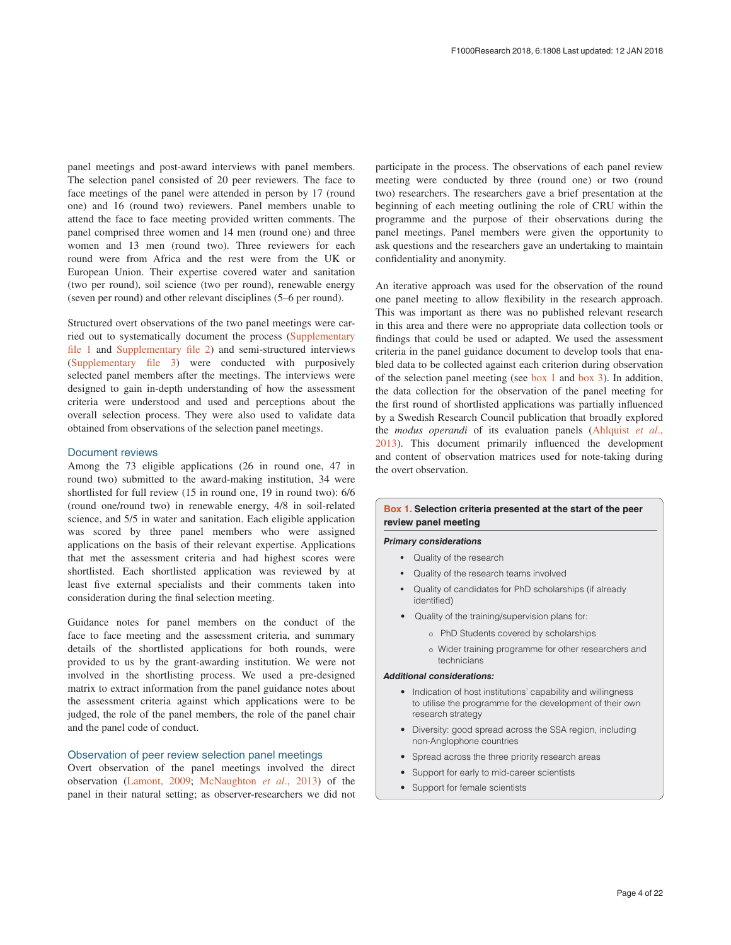<span id="page-3-0"></span>panel meetings and post-award interviews with panel members. The selection panel consisted of 20 peer reviewers. The face to face meetings of the panel were attended in person by 17 (round one) and 16 (round two) reviewers. Panel members unable to attend the face to face meeting provided written comments. The panel comprised three women and 14 men (round one) and three women and 13 men (round two). Three reviewers for each round were from Africa and the rest were from the UK or European Union. Their expertise covered water and sanitation (two per round), soil science (two per round), renewable energy (seven per round) and other relevant disciplines (5–6 per round).

Structured overt observations of the two panel meetings were carried out to systematically document the process [\(Supplementary](#page-11-0) [file 1](#page-11-0) and [Supplementary file 2](#page-11-0)) and semi-structured interviews ([Supplementary file 3](#page-11-0)) were conducted with purposively selected panel members after the meetings. The interviews were designed to gain in-depth understanding of how the assessment criteria were understood and used and perceptions about the overall selection process. They were also used to validate data obtained from observations of the selection panel meetings.

# Document reviews

Among the 73 eligible applications (26 in round one, 47 in round two) submitted to the award-making institution, 34 were shortlisted for full review (15 in round one, 19 in round two): 6/6 (round one/round two) in renewable energy, 4/8 in soil-related science, and 5/5 in water and sanitation. Each eligible application was scored by three panel members who were assigned applications on the basis of their relevant expertise. Applications that met the assessment criteria and had highest scores were shortlisted. Each shortlisted application was reviewed by at least five external specialists and their comments taken into consideration during the final selection meeting.

Guidance notes for panel members on the conduct of the face to face meeting and the assessment criteria, and summary details of the shortlisted applications for both rounds, were provided to us by the grant-awarding institution. We were not involved in the shortlisting process. We used a pre-designed matrix to extract information from the panel guidance notes about the assessment criteria against which applications were to be judged, the role of the panel members, the role of the panel chair and the panel code of conduct.

# Observation of peer review selection panel meetings

Overt observation of the panel meetings involved the direct observation ([Lamont, 2009;](#page-12-0) [McNaughton](#page-12-0) *et al*., 2013) of the panel in their natural setting; as observer-researchers we did not

participate in the process. The observations of each panel review meeting were conducted by three (round one) or two (round two) researchers. The researchers gave a brief presentation at the beginning of each meeting outlining the role of CRU within the programme and the purpose of their observations during the panel meetings. Panel members were given the opportunity to ask questions and the researchers gave an undertaking to maintain confidentiality and anonymity.

An iterative approach was used for the observation of the round one panel meeting to allow flexibility in the research approach. This was important as there was no published relevant research in this area and there were no appropriate data collection tools or findings that could be used or adapted. We used the assessment criteria in the panel guidance document to develop tools that enabled data to be collected against each criterion during observation of the selection panel meeting (see box 1 and [box 3](#page-4-0)). In addition, the data collection for the observation of the panel meeting for the first round of shortlisted applications was partially influenced by a Swedish Research Council publication that broadly explored the *modus operandi* of its evaluation panels [\(Ahlquist](#page-12-0) *et al*., [2013\)](#page-12-0). This document primarily influenced the development and content of observation matrices used for note-taking during the overt observation.

## **Box 1. Selection criteria presented at the start of the peer review panel meeting**

# *Primary considerations*

- Quality of the research
- Quality of the research teams involved
- Quality of candidates for PhD scholarships (if already identified)
- Quality of the training/supervision plans for:
	- o PhD Students covered by scholarships
	- o Wider training programme for other researchers and technicians

#### *Additional considerations:*

- Indication of host institutions' capability and willingness to utilise the programme for the development of their own research strategy
- Diversity: good spread across the SSA region, including non-Anglophone countries
- Spread across the three priority research areas
- Support for early to mid-career scientists
- Support for female scientists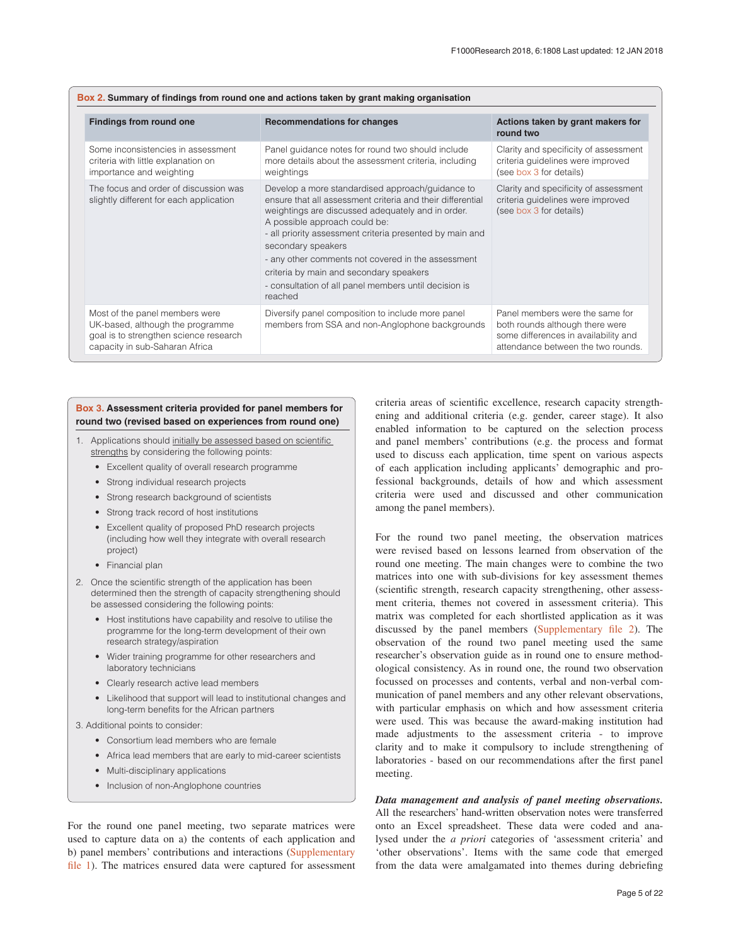<span id="page-4-0"></span>

| Box 2. Summary of findings from round one and actions taken by grant making organisation                                                       |                                                                                                                                                                                                                                                                                                                                                                                                                                                             |                                                                                                                                                  |  |  |  |  |  |
|------------------------------------------------------------------------------------------------------------------------------------------------|-------------------------------------------------------------------------------------------------------------------------------------------------------------------------------------------------------------------------------------------------------------------------------------------------------------------------------------------------------------------------------------------------------------------------------------------------------------|--------------------------------------------------------------------------------------------------------------------------------------------------|--|--|--|--|--|
| <b>Findings from round one</b>                                                                                                                 | <b>Recommendations for changes</b>                                                                                                                                                                                                                                                                                                                                                                                                                          | Actions taken by grant makers for<br>round two                                                                                                   |  |  |  |  |  |
| Some inconsistencies in assessment<br>criteria with little explanation on<br>importance and weighting                                          | Panel guidance notes for round two should include<br>more details about the assessment criteria, including<br>weightings                                                                                                                                                                                                                                                                                                                                    | Clarity and specificity of assessment<br>criteria guidelines were improved<br>(see box 3 for details)                                            |  |  |  |  |  |
| The focus and order of discussion was<br>slightly different for each application                                                               | Develop a more standardised approach/guidance to<br>ensure that all assessment criteria and their differential<br>weightings are discussed adequately and in order.<br>A possible approach could be:<br>- all priority assessment criteria presented by main and<br>secondary speakers<br>- any other comments not covered in the assessment<br>criteria by main and secondary speakers<br>- consultation of all panel members until decision is<br>reached | Clarity and specificity of assessment<br>criteria guidelines were improved<br>(see box 3 for details)                                            |  |  |  |  |  |
| Most of the panel members were<br>UK-based, although the programme<br>goal is to strengthen science research<br>capacity in sub-Saharan Africa | Diversify panel composition to include more panel<br>members from SSA and non-Anglophone backgrounds                                                                                                                                                                                                                                                                                                                                                        | Panel members were the same for<br>both rounds although there were<br>some differences in availability and<br>attendance between the two rounds. |  |  |  |  |  |

# **Box 3. Assessment criteria provided for panel members for round two (revised based on experiences from round one)**

- 1. Applications should initially be assessed based on scientific strengths by considering the following points:
	- Excellent quality of overall research programme
	- Strong individual research projects
	- Strong research background of scientists
	- Strong track record of host institutions
	- Excellent quality of proposed PhD research projects (including how well they integrate with overall research project)
	- Financial plan
- 2. Once the scientific strength of the application has been determined then the strength of capacity strengthening should be assessed considering the following points:
	- Host institutions have capability and resolve to utilise the programme for the long-term development of their own research strategy/aspiration
	- Wider training programme for other researchers and laboratory technicians
	- Clearly research active lead members
	- Likelihood that support will lead to institutional changes and long-term benefits for the African partners
- 3. Additional points to consider:
	- Consortium lead members who are female
	- Africa lead members that are early to mid-career scientists
	- Multi-disciplinary applications
	- Inclusion of non-Anglophone countries

For the round one panel meeting, two separate matrices were used to capture data on a) the contents of each application and b) panel members' contributions and interactions [\(Supplementary](#page-11-0)  [file 1](#page-11-0)). The matrices ensured data were captured for assessment

criteria areas of scientific excellence, research capacity strengthening and additional criteria (e.g. gender, career stage). It also enabled information to be captured on the selection process and panel members' contributions (e.g. the process and format used to discuss each application, time spent on various aspects of each application including applicants' demographic and professional backgrounds, details of how and which assessment criteria were used and discussed and other communication among the panel members).

For the round two panel meeting, the observation matrices were revised based on lessons learned from observation of the round one meeting. The main changes were to combine the two matrices into one with sub-divisions for key assessment themes (scientific strength, research capacity strengthening, other assessment criteria, themes not covered in assessment criteria). This matrix was completed for each shortlisted application as it was discussed by the panel members [\(Supplementary file 2](#page-11-0)). The observation of the round two panel meeting used the same researcher's observation guide as in round one to ensure methodological consistency. As in round one, the round two observation focussed on processes and contents, verbal and non-verbal communication of panel members and any other relevant observations, with particular emphasis on which and how assessment criteria were used. This was because the award-making institution had made adjustments to the assessment criteria - to improve clarity and to make it compulsory to include strengthening of laboratories - based on our recommendations after the first panel meeting.

*Data management and analysis of panel meeting observations.* All the researchers' hand-written observation notes were transferred onto an Excel spreadsheet. These data were coded and analysed under the *a priori* categories of 'assessment criteria' and 'other observations'. Items with the same code that emerged from the data were amalgamated into themes during debriefing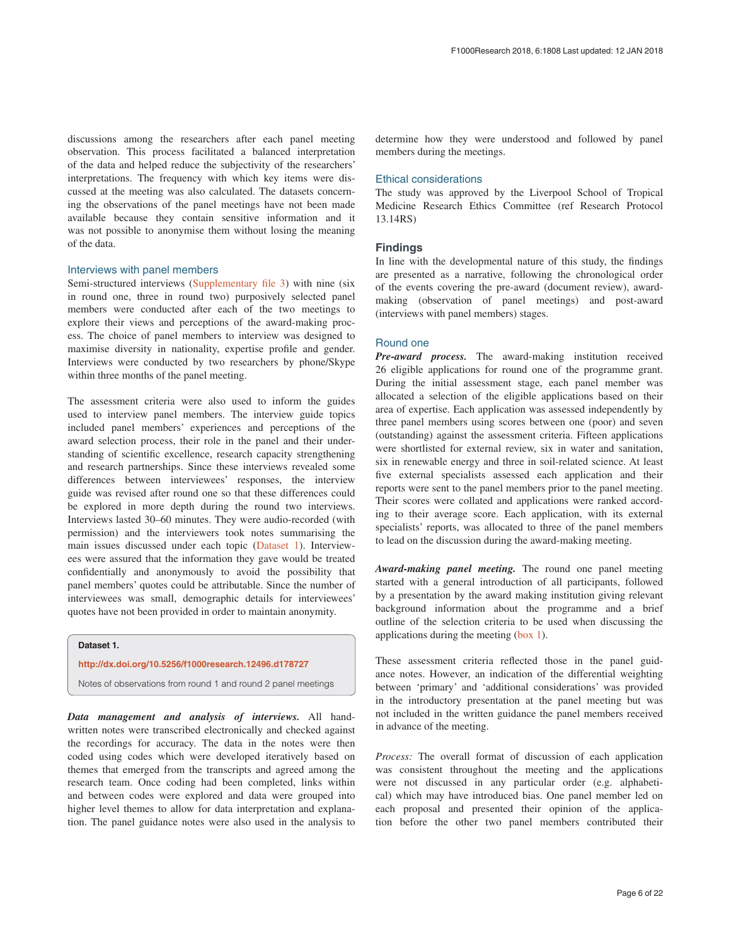discussions among the researchers after each panel meeting observation. This process facilitated a balanced interpretation of the data and helped reduce the subjectivity of the researchers' interpretations. The frequency with which key items were discussed at the meeting was also calculated. The datasets concerning the observations of the panel meetings have not been made available because they contain sensitive information and it was not possible to anonymise them without losing the meaning of the data.

# Interviews with panel members

Semi-structured interviews ([Supplementary file 3](#page-11-0)) with nine (six in round one, three in round two) purposively selected panel members were conducted after each of the two meetings to explore their views and perceptions of the award-making process. The choice of panel members to interview was designed to maximise diversity in nationality, expertise profile and gender. Interviews were conducted by two researchers by phone/Skype within three months of the panel meeting.

The assessment criteria were also used to inform the guides used to interview panel members. The interview guide topics included panel members' experiences and perceptions of the award selection process, their role in the panel and their understanding of scientific excellence, research capacity strengthening and research partnerships. Since these interviews revealed some differences between interviewees' responses, the interview guide was revised after round one so that these differences could be explored in more depth during the round two interviews. Interviews lasted 30–60 minutes. They were audio-recorded (with permission) and the interviewers took notes summarising the main issues discussed under each topic (Dataset 1). Interviewees were assured that the information they gave would be treated confidentially and anonymously to avoid the possibility that panel members' quotes could be attributable. Since the number of interviewees was small, demographic details for interviewees' quotes have not been provided in order to maintain anonymity.

# **Dataset 1.**

### **<http://dx.doi.org/10.5256/f1000research.12496.d178727>**

Notes of observations from round 1 and round 2 panel meetings

*Data management and analysis of interviews.* All handwritten notes were transcribed electronically and checked against the recordings for accuracy. The data in the notes were then coded using codes which were developed iteratively based on themes that emerged from the transcripts and agreed among the research team. Once coding had been completed, links within and between codes were explored and data were grouped into higher level themes to allow for data interpretation and explanation. The panel guidance notes were also used in the analysis to

determine how they were understood and followed by panel members during the meetings.

### Ethical considerations

The study was approved by the Liverpool School of Tropical Medicine Research Ethics Committee (ref Research Protocol 13.14RS)

# **Findings**

In line with the developmental nature of this study, the findings are presented as a narrative, following the chronological order of the events covering the pre-award (document review), awardmaking (observation of panel meetings) and post-award (interviews with panel members) stages.

# Round one

*Pre-award process.* The award-making institution received 26 eligible applications for round one of the programme grant. During the initial assessment stage, each panel member was allocated a selection of the eligible applications based on their area of expertise. Each application was assessed independently by three panel members using scores between one (poor) and seven (outstanding) against the assessment criteria. Fifteen applications were shortlisted for external review, six in water and sanitation, six in renewable energy and three in soil-related science. At least five external specialists assessed each application and their reports were sent to the panel members prior to the panel meeting. Their scores were collated and applications were ranked according to their average score. Each application, with its external specialists' reports, was allocated to three of the panel members to lead on the discussion during the award-making meeting.

*Award-making panel meeting.* The round one panel meeting started with a general introduction of all participants, followed by a presentation by the award making institution giving relevant background information about the programme and a brief outline of the selection criteria to be used when discussing the applications during the meeting ([box 1\)](#page-3-0).

These assessment criteria reflected those in the panel guidance notes. However, an indication of the differential weighting between 'primary' and 'additional considerations' was provided in the introductory presentation at the panel meeting but was not included in the written guidance the panel members received in advance of the meeting.

*Process:* The overall format of discussion of each application was consistent throughout the meeting and the applications were not discussed in any particular order (e.g. alphabetical) which may have introduced bias. One panel member led on each proposal and presented their opinion of the application before the other two panel members contributed their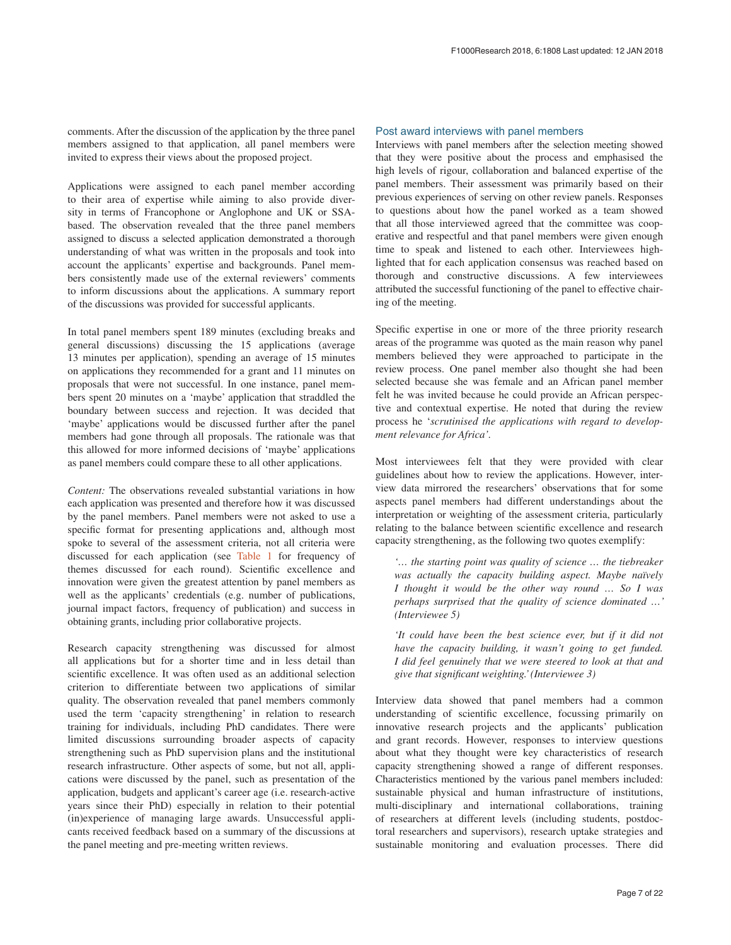comments. After the discussion of the application by the three panel members assigned to that application, all panel members were invited to express their views about the proposed project.

Applications were assigned to each panel member according to their area of expertise while aiming to also provide diversity in terms of Francophone or Anglophone and UK or SSAbased. The observation revealed that the three panel members assigned to discuss a selected application demonstrated a thorough understanding of what was written in the proposals and took into account the applicants' expertise and backgrounds. Panel members consistently made use of the external reviewers' comments to inform discussions about the applications. A summary report of the discussions was provided for successful applicants.

In total panel members spent 189 minutes (excluding breaks and general discussions) discussing the 15 applications (average 13 minutes per application), spending an average of 15 minutes on applications they recommended for a grant and 11 minutes on proposals that were not successful. In one instance, panel members spent 20 minutes on a 'maybe' application that straddled the boundary between success and rejection. It was decided that 'maybe' applications would be discussed further after the panel members had gone through all proposals. The rationale was that this allowed for more informed decisions of 'maybe' applications as panel members could compare these to all other applications.

*Content:* The observations revealed substantial variations in how each application was presented and therefore how it was discussed by the panel members. Panel members were not asked to use a specific format for presenting applications and, although most spoke to several of the assessment criteria, not all criteria were discussed for each application (see [Table 1](#page-7-0) for frequency of themes discussed for each round). Scientific excellence and innovation were given the greatest attention by panel members as well as the applicants' credentials (e.g. number of publications, journal impact factors, frequency of publication) and success in obtaining grants, including prior collaborative projects.

Research capacity strengthening was discussed for almost all applications but for a shorter time and in less detail than scientific excellence. It was often used as an additional selection criterion to differentiate between two applications of similar quality. The observation revealed that panel members commonly used the term 'capacity strengthening' in relation to research training for individuals, including PhD candidates. There were limited discussions surrounding broader aspects of capacity strengthening such as PhD supervision plans and the institutional research infrastructure. Other aspects of some, but not all, applications were discussed by the panel, such as presentation of the application, budgets and applicant's career age (i.e. research-active years since their PhD) especially in relation to their potential (in)experience of managing large awards. Unsuccessful applicants received feedback based on a summary of the discussions at the panel meeting and pre-meeting written reviews.

# Post award interviews with panel members

Interviews with panel members after the selection meeting showed that they were positive about the process and emphasised the high levels of rigour, collaboration and balanced expertise of the panel members. Their assessment was primarily based on their previous experiences of serving on other review panels. Responses to questions about how the panel worked as a team showed that all those interviewed agreed that the committee was cooperative and respectful and that panel members were given enough time to speak and listened to each other. Interviewees highlighted that for each application consensus was reached based on thorough and constructive discussions. A few interviewees attributed the successful functioning of the panel to effective chairing of the meeting.

Specific expertise in one or more of the three priority research areas of the programme was quoted as the main reason why panel members believed they were approached to participate in the review process. One panel member also thought she had been selected because she was female and an African panel member felt he was invited because he could provide an African perspective and contextual expertise. He noted that during the review process he '*scrutinised the applications with regard to development relevance for Africa'.*

Most interviewees felt that they were provided with clear guidelines about how to review the applications. However, interview data mirrored the researchers' observations that for some aspects panel members had different understandings about the interpretation or weighting of the assessment criteria, particularly relating to the balance between scientific excellence and research capacity strengthening, as the following two quotes exemplify:

*'… the starting point was quality of science … the tiebreaker was actually the capacity building aspect. Maybe naïvely I thought it would be the other way round … So I was perhaps surprised that the quality of science dominated …' (Interviewee 5)*

*'It could have been the best science ever, but if it did not have the capacity building, it wasn't going to get funded. I did feel genuinely that we were steered to look at that and give that significant weighting.' (Interviewee 3)*

Interview data showed that panel members had a common understanding of scientific excellence, focussing primarily on innovative research projects and the applicants' publication and grant records. However, responses to interview questions about what they thought were key characteristics of research capacity strengthening showed a range of different responses. Characteristics mentioned by the various panel members included: sustainable physical and human infrastructure of institutions, multi-disciplinary and international collaborations, training of researchers at different levels (including students, postdoctoral researchers and supervisors), research uptake strategies and sustainable monitoring and evaluation processes. There did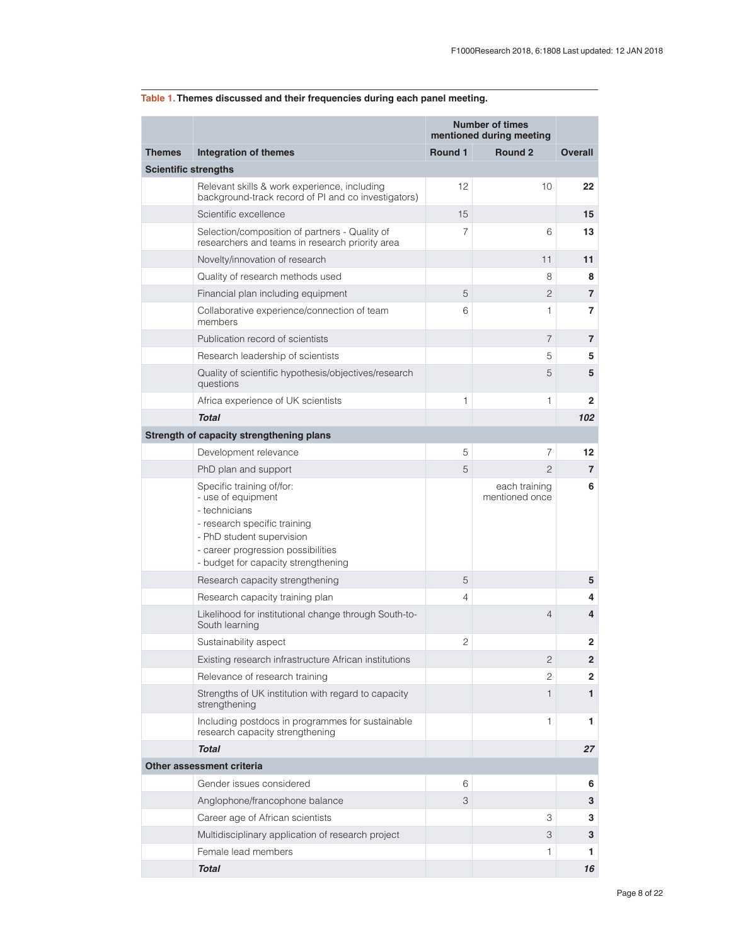|                             |                                                                                                                                                                                                            | <b>Number of times</b><br>mentioned during meeting |                                 |                |
|-----------------------------|------------------------------------------------------------------------------------------------------------------------------------------------------------------------------------------------------------|----------------------------------------------------|---------------------------------|----------------|
| <b>Themes</b>               | <b>Integration of themes</b>                                                                                                                                                                               | Round 1                                            | Round <sub>2</sub>              | <b>Overall</b> |
| <b>Scientific strengths</b> |                                                                                                                                                                                                            |                                                    |                                 |                |
|                             | Relevant skills & work experience, including<br>background-track record of PI and co investigators)                                                                                                        | 12                                                 | 10                              | 22             |
|                             | Scientific excellence                                                                                                                                                                                      | 15                                                 |                                 | 15             |
|                             | Selection/composition of partners - Quality of<br>researchers and teams in research priority area                                                                                                          | 7                                                  | 6                               | 13             |
|                             | Novelty/innovation of research                                                                                                                                                                             |                                                    | 11                              | 11             |
|                             | Quality of research methods used                                                                                                                                                                           |                                                    | 8                               | 8              |
|                             | Financial plan including equipment                                                                                                                                                                         | 5                                                  | $\overline{c}$                  | 7              |
|                             | Collaborative experience/connection of team<br>members                                                                                                                                                     | 6                                                  | 1                               | 7              |
|                             | Publication record of scientists                                                                                                                                                                           |                                                    | $\overline{7}$                  | $\overline{7}$ |
|                             | Research leadership of scientists                                                                                                                                                                          |                                                    | 5                               | 5              |
|                             | Quality of scientific hypothesis/objectives/research<br>questions                                                                                                                                          |                                                    | 5                               | 5              |
|                             | Africa experience of UK scientists                                                                                                                                                                         | 1                                                  | 1                               | $\mathbf{2}$   |
|                             | <b>Total</b>                                                                                                                                                                                               |                                                    |                                 | 102            |
|                             | Strength of capacity strengthening plans                                                                                                                                                                   |                                                    |                                 |                |
|                             | Development relevance                                                                                                                                                                                      | 5                                                  | 7                               | 12             |
|                             | PhD plan and support                                                                                                                                                                                       | 5                                                  | $\overline{2}$                  | $\overline{7}$ |
|                             | Specific training of/for:<br>- use of equipment<br>- technicians<br>- research specific training<br>- PhD student supervision<br>- career progression possibilities<br>- budget for capacity strengthening |                                                    | each training<br>mentioned once | 6              |
|                             | Research capacity strengthening                                                                                                                                                                            | 5                                                  |                                 | 5              |
|                             | Research capacity training plan                                                                                                                                                                            | $\overline{4}$                                     |                                 | 4              |
|                             | Likelihood for institutional change through South-to-<br>South learning                                                                                                                                    |                                                    | $\overline{4}$                  | 4              |
|                             | Sustainability aspect                                                                                                                                                                                      | $\overline{c}$                                     |                                 | $\overline{2}$ |
|                             | Existing research infrastructure African institutions                                                                                                                                                      |                                                    | 2                               | $\overline{2}$ |
|                             | Relevance of research training                                                                                                                                                                             |                                                    | 2                               | 2              |
|                             | Strengths of UK institution with regard to capacity<br>strengthening                                                                                                                                       |                                                    | 1                               | $\mathbf{1}$   |
|                             | Including postdocs in programmes for sustainable<br>research capacity strengthening                                                                                                                        |                                                    | 1                               | 1              |
|                             | <b>Total</b>                                                                                                                                                                                               |                                                    |                                 | 27             |
|                             | Other assessment criteria                                                                                                                                                                                  |                                                    |                                 |                |
|                             | Gender issues considered                                                                                                                                                                                   | 6                                                  |                                 | 6              |
|                             | Anglophone/francophone balance                                                                                                                                                                             | 3                                                  |                                 | 3              |
|                             | Career age of African scientists                                                                                                                                                                           |                                                    | 3                               | 3              |
|                             | Multidisciplinary application of research project                                                                                                                                                          |                                                    | 3                               | 3              |
|                             | Female lead members                                                                                                                                                                                        |                                                    | 1                               | 1              |
|                             | Total                                                                                                                                                                                                      |                                                    |                                 | 16             |

# <span id="page-7-0"></span>**Table 1.Themes discussed and their frequencies during each panel meeting.**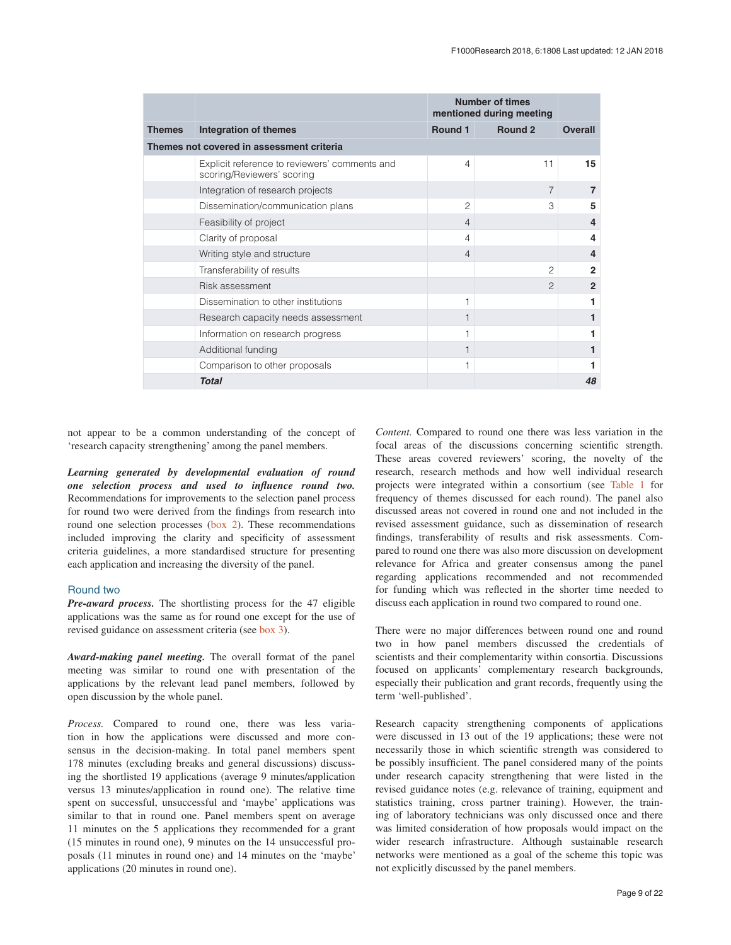|                                           |                                                                             | <b>Number of times</b><br>mentioned during meeting |                    |                |
|-------------------------------------------|-----------------------------------------------------------------------------|----------------------------------------------------|--------------------|----------------|
| <b>Themes</b>                             | Integration of themes                                                       | Round 1                                            | Round <sub>2</sub> | <b>Overall</b> |
| Themes not covered in assessment criteria |                                                                             |                                                    |                    |                |
|                                           | Explicit reference to reviewers' comments and<br>scoring/Reviewers' scoring | 4                                                  | 11                 | 15             |
|                                           | Integration of research projects                                            |                                                    | $\overline{7}$     | $\overline{7}$ |
|                                           | Dissemination/communication plans                                           | 2                                                  | 3                  | 5              |
|                                           | Feasibility of project                                                      | $\overline{4}$                                     |                    | 4              |
|                                           | Clarity of proposal                                                         | 4                                                  |                    | 4              |
|                                           | Writing style and structure                                                 | $\overline{4}$                                     |                    | 4              |
|                                           | Transferability of results                                                  |                                                    | $\overline{c}$     | $\mathbf{2}$   |
|                                           | Risk assessment                                                             |                                                    | $\mathfrak{D}$     | $\overline{2}$ |
|                                           | Dissemination to other institutions                                         | 1                                                  |                    |                |
|                                           | Research capacity needs assessment                                          |                                                    |                    |                |
|                                           | Information on research progress                                            |                                                    |                    |                |
|                                           | Additional funding                                                          |                                                    |                    |                |
|                                           | Comparison to other proposals                                               |                                                    |                    |                |
|                                           | <b>Total</b>                                                                |                                                    |                    | 48             |

not appear to be a common understanding of the concept of 'research capacity strengthening' among the panel members.

*Learning generated by developmental evaluation of round one selection process and used to influence round two.* Recommendations for improvements to the selection panel process for round two were derived from the findings from research into round one selection processes ([box 2\)](#page-4-0). These recommendations included improving the clarity and specificity of assessment criteria guidelines, a more standardised structure for presenting each application and increasing the diversity of the panel.

# Round two

*Pre-award process.* The shortlisting process for the 47 eligible applications was the same as for round one except for the use of revised guidance on assessment criteria (see [box 3\)](#page-4-0).

*Award-making panel meeting.* The overall format of the panel meeting was similar to round one with presentation of the applications by the relevant lead panel members, followed by open discussion by the whole panel.

*Process.* Compared to round one, there was less variation in how the applications were discussed and more consensus in the decision-making. In total panel members spent 178 minutes (excluding breaks and general discussions) discussing the shortlisted 19 applications (average 9 minutes/application versus 13 minutes/application in round one). The relative time spent on successful, unsuccessful and 'maybe' applications was similar to that in round one. Panel members spent on average 11 minutes on the 5 applications they recommended for a grant (15 minutes in round one), 9 minutes on the 14 unsuccessful proposals (11 minutes in round one) and 14 minutes on the 'maybe' applications (20 minutes in round one).

*Content.* Compared to round one there was less variation in the focal areas of the discussions concerning scientific strength. These areas covered reviewers' scoring, the novelty of the research, research methods and how well individual research projects were integrated within a consortium (see [Table 1](#page-7-0) for frequency of themes discussed for each round). The panel also discussed areas not covered in round one and not included in the revised assessment guidance, such as dissemination of research findings, transferability of results and risk assessments. Compared to round one there was also more discussion on development relevance for Africa and greater consensus among the panel regarding applications recommended and not recommended for funding which was reflected in the shorter time needed to discuss each application in round two compared to round one.

There were no major differences between round one and round two in how panel members discussed the credentials of scientists and their complementarity within consortia. Discussions focused on applicants' complementary research backgrounds, especially their publication and grant records, frequently using the term 'well-published'.

Research capacity strengthening components of applications were discussed in 13 out of the 19 applications; these were not necessarily those in which scientific strength was considered to be possibly insufficient. The panel considered many of the points under research capacity strengthening that were listed in the revised guidance notes (e.g. relevance of training, equipment and statistics training, cross partner training). However, the training of laboratory technicians was only discussed once and there was limited consideration of how proposals would impact on the wider research infrastructure. Although sustainable research networks were mentioned as a goal of the scheme this topic was not explicitly discussed by the panel members.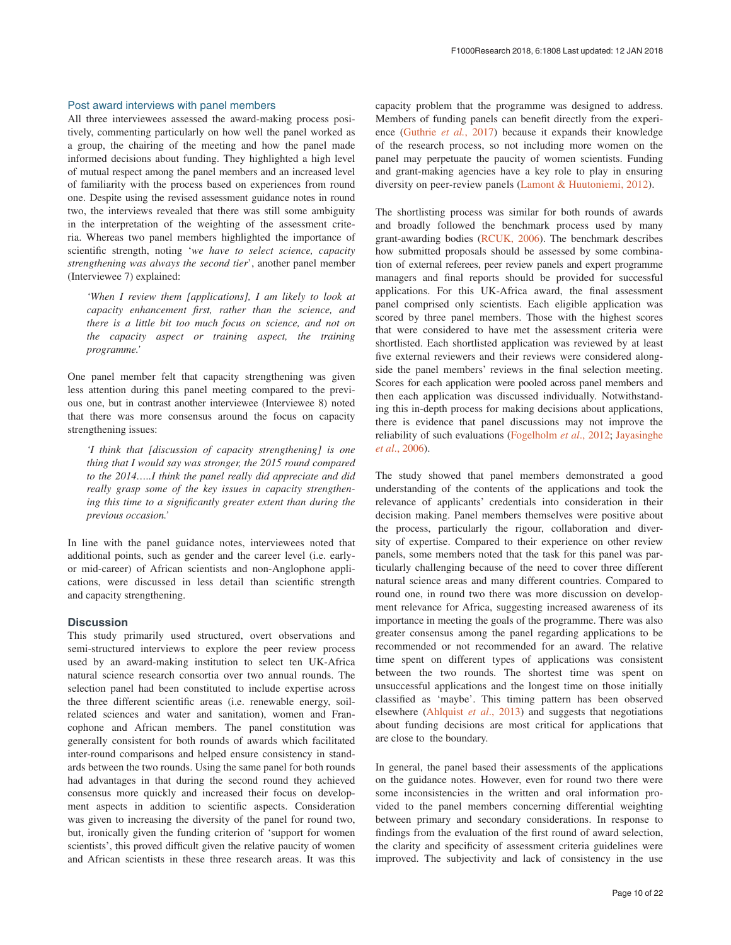# Post award interviews with panel members

All three interviewees assessed the award-making process positively, commenting particularly on how well the panel worked as a group, the chairing of the meeting and how the panel made informed decisions about funding. They highlighted a high level of mutual respect among the panel members and an increased level of familiarity with the process based on experiences from round one. Despite using the revised assessment guidance notes in round two, the interviews revealed that there was still some ambiguity in the interpretation of the weighting of the assessment criteria. Whereas two panel members highlighted the importance of scientific strength, noting '*we have to select science, capacity strengthening was always the second tier*', another panel member (Interviewee 7) explained:

*'When I review them [applications], I am likely to look at capacity enhancement first, rather than the science, and there is a little bit too much focus on science, and not on the capacity aspect or training aspect, the training programme.'*

One panel member felt that capacity strengthening was given less attention during this panel meeting compared to the previous one, but in contrast another interviewee (Interviewee 8) noted that there was more consensus around the focus on capacity strengthening issues:

*'I think that [discussion of capacity strengthening] is one thing that I would say was stronger, the 2015 round compared to the 2014…..I think the panel really did appreciate and did really grasp some of the key issues in capacity strengthening this time to a significantly greater extent than during the previous occasion.'*

In line with the panel guidance notes, interviewees noted that additional points, such as gender and the career level (i.e. earlyor mid-career) of African scientists and non-Anglophone applications, were discussed in less detail than scientific strength and capacity strengthening.

# **Discussion**

This study primarily used structured, overt observations and semi-structured interviews to explore the peer review process used by an award-making institution to select ten UK-Africa natural science research consortia over two annual rounds. The selection panel had been constituted to include expertise across the three different scientific areas (i.e. renewable energy, soilrelated sciences and water and sanitation), women and Francophone and African members. The panel constitution was generally consistent for both rounds of awards which facilitated inter-round comparisons and helped ensure consistency in standards between the two rounds. Using the same panel for both rounds had advantages in that during the second round they achieved consensus more quickly and increased their focus on development aspects in addition to scientific aspects. Consideration was given to increasing the diversity of the panel for round two, but, ironically given the funding criterion of 'support for women scientists', this proved difficult given the relative paucity of women and African scientists in these three research areas. It was this

capacity problem that the programme was designed to address. Members of funding panels can benefit directly from the experience [\(Guthrie](#page-12-0) *et al.*, 2017) because it expands their knowledge of the research process, so not including more women on the panel may perpetuate the paucity of women scientists. Funding and grant-making agencies have a key role to play in ensuring diversity on peer-review panels [\(Lamont & Huutoniemi, 2012](#page-12-0)).

The shortlisting process was similar for both rounds of awards and broadly followed the benchmark process used by many grant-awarding bodies [\(RCUK, 2006](#page-12-0)). The benchmark describes how submitted proposals should be assessed by some combination of external referees, peer review panels and expert programme managers and final reports should be provided for successful applications. For this UK-Africa award, the final assessment panel comprised only scientists. Each eligible application was scored by three panel members. Those with the highest scores that were considered to have met the assessment criteria were shortlisted. Each shortlisted application was reviewed by at least five external reviewers and their reviews were considered alongside the panel members' reviews in the final selection meeting. Scores for each application were pooled across panel members and then each application was discussed individually. Notwithstanding this in-depth process for making decisions about applications, there is evidence that panel discussions may not improve the reliability of such evaluations ([Fogelholm](#page-12-0) *et al*., 2012; [Jayasinghe](#page-12-0)  *et al*[., 2006](#page-12-0)).

The study showed that panel members demonstrated a good understanding of the contents of the applications and took the relevance of applicants' credentials into consideration in their decision making. Panel members themselves were positive about the process, particularly the rigour, collaboration and diversity of expertise. Compared to their experience on other review panels, some members noted that the task for this panel was particularly challenging because of the need to cover three different natural science areas and many different countries. Compared to round one, in round two there was more discussion on development relevance for Africa, suggesting increased awareness of its importance in meeting the goals of the programme. There was also greater consensus among the panel regarding applications to be recommended or not recommended for an award. The relative time spent on different types of applications was consistent between the two rounds. The shortest time was spent on unsuccessful applications and the longest time on those initially classified as 'maybe'. This timing pattern has been observed elsewhere [\(Ahlquist](#page-12-0) *et al*., 2013) and suggests that negotiations about funding decisions are most critical for applications that are close to the boundary.

In general, the panel based their assessments of the applications on the guidance notes. However, even for round two there were some inconsistencies in the written and oral information provided to the panel members concerning differential weighting between primary and secondary considerations. In response to findings from the evaluation of the first round of award selection, the clarity and specificity of assessment criteria guidelines were improved. The subjectivity and lack of consistency in the use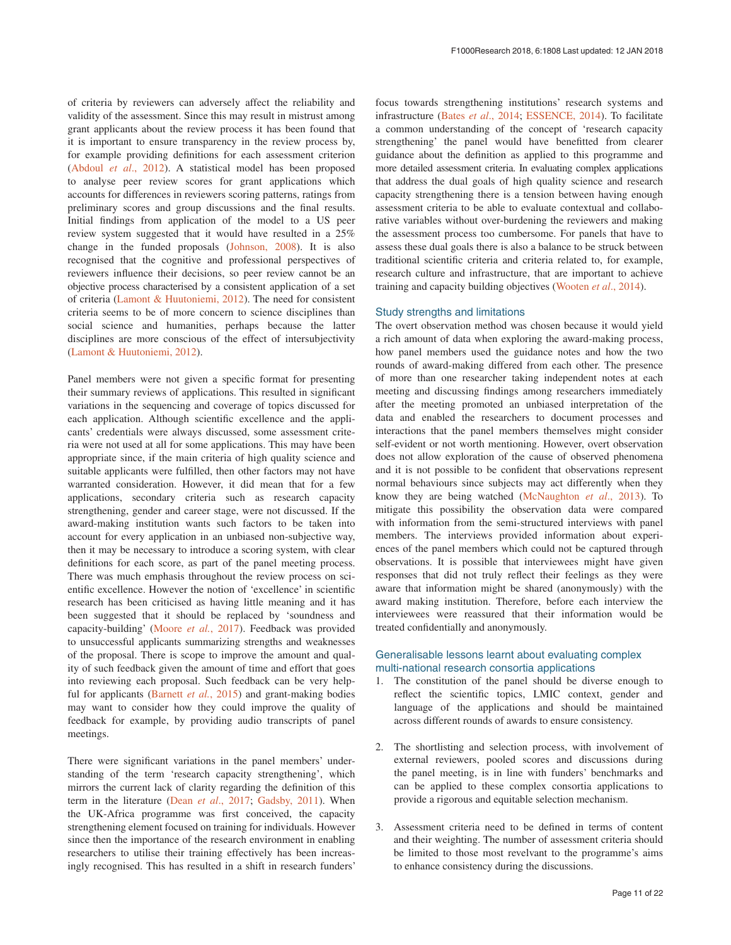of criteria by reviewers can adversely affect the reliability and validity of the assessment. Since this may result in mistrust among grant applicants about the review process it has been found that it is important to ensure transparency in the review process by, for example providing definitions for each assessment criterion ([Abdoul](#page-12-0) *et al*., 2012). A statistical model has been proposed to analyse peer review scores for grant applications which accounts for differences in reviewers scoring patterns, ratings from preliminary scores and group discussions and the final results. Initial findings from application of the model to a US peer review system suggested that it would have resulted in a 25% change in the funded proposals ([Johnson, 2008](#page-12-0)). It is also recognised that the cognitive and professional perspectives of reviewers influence their decisions, so peer review cannot be an objective process characterised by a consistent application of a set of criteria [\(Lamont & Huutoniemi, 2012](#page-12-0)). The need for consistent criteria seems to be of more concern to science disciplines than social science and humanities, perhaps because the latter disciplines are more conscious of the effect of intersubjectivity ([Lamont & Huutoniemi, 2012\)](#page-12-0).

Panel members were not given a specific format for presenting their summary reviews of applications. This resulted in significant variations in the sequencing and coverage of topics discussed for each application. Although scientific excellence and the applicants' credentials were always discussed, some assessment criteria were not used at all for some applications. This may have been appropriate since, if the main criteria of high quality science and suitable applicants were fulfilled, then other factors may not have warranted consideration. However, it did mean that for a few applications, secondary criteria such as research capacity strengthening, gender and career stage, were not discussed. If the award-making institution wants such factors to be taken into account for every application in an unbiased non-subjective way, then it may be necessary to introduce a scoring system, with clear definitions for each score, as part of the panel meeting process. There was much emphasis throughout the review process on scientific excellence. However the notion of 'excellence' in scientific research has been criticised as having little meaning and it has been suggested that it should be replaced by 'soundness and capacity-building' ([Moore](#page-12-0) *et al.*, 2017). Feedback was provided to unsuccessful applicants summarizing strengths and weaknesses of the proposal. There is scope to improve the amount and quality of such feedback given the amount of time and effort that goes into reviewing each proposal. Such feedback can be very helpful for applicants ([Barnett](#page-12-0) *et al.*, 2015) and grant-making bodies may want to consider how they could improve the quality of feedback for example, by providing audio transcripts of panel meetings.

There were significant variations in the panel members' understanding of the term 'research capacity strengthening', which mirrors the current lack of clarity regarding the definition of this term in the literature (Dean *et al*[., 2017; Gadsby, 2011](#page-12-0)). When the UK-Africa programme was first conceived, the capacity strengthening element focused on training for individuals. However since then the importance of the research environment in enabling researchers to utilise their training effectively has been increasingly recognised. This has resulted in a shift in research funders'

focus towards strengthening institutions' research systems and infrastructure (Bates *et al*[., 2014; ESSENCE, 2014](#page-12-0)). To facilitate a common understanding of the concept of 'research capacity strengthening' the panel would have benefitted from clearer guidance about the definition as applied to this programme and more detailed assessment criteria. In evaluating complex applications that address the dual goals of high quality science and research capacity strengthening there is a tension between having enough assessment criteria to be able to evaluate contextual and collaborative variables without over-burdening the reviewers and making the assessment process too cumbersome. For panels that have to assess these dual goals there is also a balance to be struck between traditional scientific criteria and criteria related to, for example, research culture and infrastructure, that are important to achieve training and capacity building objectives ([Wooten](#page-12-0) *et al*., 2014).

# Study strengths and limitations

The overt observation method was chosen because it would yield a rich amount of data when exploring the award-making process, how panel members used the guidance notes and how the two rounds of award-making differed from each other. The presence of more than one researcher taking independent notes at each meeting and discussing findings among researchers immediately after the meeting promoted an unbiased interpretation of the data and enabled the researchers to document processes and interactions that the panel members themselves might consider self-evident or not worth mentioning. However, overt observation does not allow exploration of the cause of observed phenomena and it is not possible to be confident that observations represent normal behaviours since subjects may act differently when they know they are being watched [\(McNaughton](#page-12-0) *et al*., 2013). To mitigate this possibility the observation data were compared with information from the semi-structured interviews with panel members. The interviews provided information about experiences of the panel members which could not be captured through observations. It is possible that interviewees might have given responses that did not truly reflect their feelings as they were aware that information might be shared (anonymously) with the award making institution. Therefore, before each interview the interviewees were reassured that their information would be treated confidentially and anonymously.

# Generalisable lessons learnt about evaluating complex multi-national research consortia applications

- 1. The constitution of the panel should be diverse enough to reflect the scientific topics, LMIC context, gender and language of the applications and should be maintained across different rounds of awards to ensure consistency.
- 2. The shortlisting and selection process, with involvement of external reviewers, pooled scores and discussions during the panel meeting, is in line with funders' benchmarks and can be applied to these complex consortia applications to provide a rigorous and equitable selection mechanism.
- 3. Assessment criteria need to be defined in terms of content and their weighting. The number of assessment criteria should be limited to those most revelvant to the programme's aims to enhance consistency during the discussions.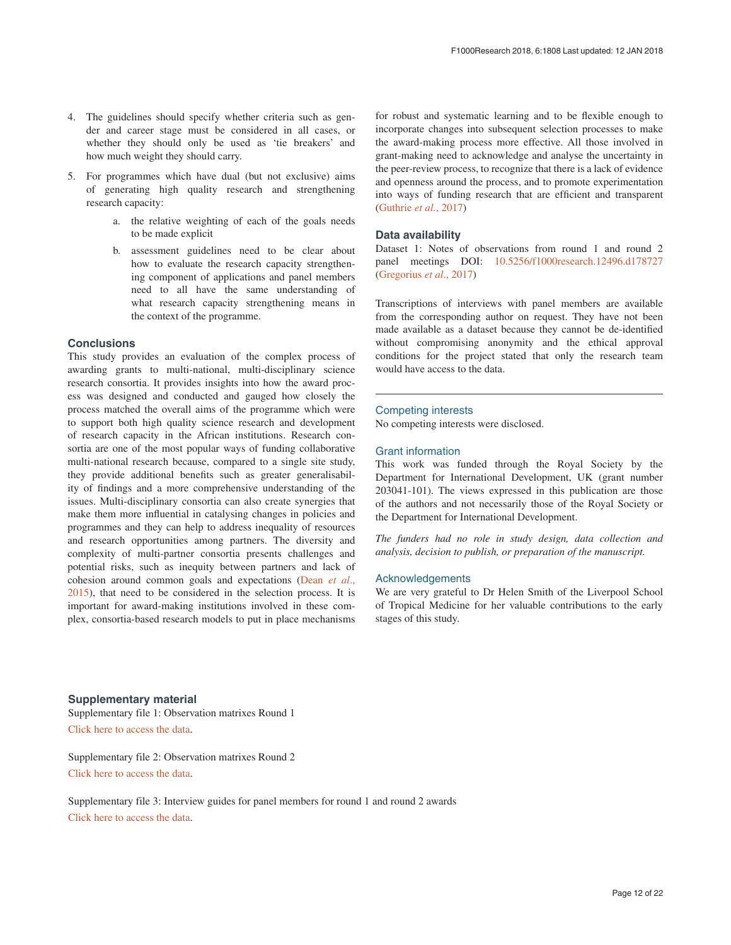- <span id="page-11-0"></span>4. The guidelines should specify whether criteria such as gender and career stage must be considered in all cases, or whether they should only be used as 'tie breakers' and how much weight they should carry.
- 5. For programmes which have dual (but not exclusive) aims of generating high quality research and strengthening research capacity:
	- a. the relative weighting of each of the goals needs to be made explicit
	- b. assessment guidelines need to be clear about how to evaluate the research capacity strengthening component of applications and panel members need to all have the same understanding of what research capacity strengthening means in the context of the programme.

# **Conclusions**

This study provides an evaluation of the complex process of awarding grants to multi-national, multi-disciplinary science research consortia. It provides insights into how the award process was designed and conducted and gauged how closely the process matched the overall aims of the programme which were to support both high quality science research and development of research capacity in the African institutions. Research consortia are one of the most popular ways of funding collaborative multi-national research because, compared to a single site study, they provide additional benefits such as greater generalisability of findings and a more comprehensive understanding of the issues. Multi-disciplinary consortia can also create synergies that make them more influential in catalysing changes in policies and programmes and they can help to address inequality of resources and research opportunities among partners. The diversity and complexity of multi-partner consortia presents challenges and potential risks, such as inequity between partners and lack of cohesion around common goals and expectations ([Dean](#page-12-0) *et al*., [2015\)](#page-12-0), that need to be considered in the selection process. It is important for award-making institutions involved in these complex, consortia-based research models to put in place mechanisms

for robust and systematic learning and to be flexible enough to incorporate changes into subsequent selection processes to make the award-making process more effective. All those involved in grant-making need to acknowledge and analyse the uncertainty in the peer-review process, to recognize that there is a lack of evidence and openness around the process, and to promote experimentation into ways of funding research that are efficient and transparent ([Guthrie](#page-12-0) *et al.*, 2017)

# **Data availability**

Dataset 1: Notes of observations from round 1 and round 2 panel meetings DOI: [10.5256/f1000research.12496.d178727](http://dx.doi.org/10.5256/f1000research.12496.d178727) ([Gregorius](#page-12-0) *et al*., 2017)

Transcriptions of interviews with panel members are available from the corresponding author on request. They have not been made available as a dataset because they cannot be de-identified without compromising anonymity and the ethical approval conditions for the project stated that only the research team would have access to the data.

# Competing interests

No competing interests were disclosed.

# Grant information

This work was funded through the Royal Society by the Department for International Development, UK (grant number 203041-101). The views expressed in this publication are those of the authors and not necessarily those of the Royal Society or the Department for International Development.

*The funders had no role in study design, data collection and analysis, decision to publish, or preparation of the manuscript.*

### Acknowledgements

We are very grateful to Dr Helen Smith of the Liverpool School of Tropical Medicine for her valuable contributions to the early stages of this study.

**Supplementary material** Supplementary file 1: Observation matrixes Round 1 [Click here to access the data](https://f1000researchdata.s3.amazonaws.com/supplementary/12496/19eb77fd-8b3f-4358-98c3-bba2a83628ac.pdf).

Supplementary file 2: Observation matrixes Round 2 [Click here to access the data](https://f1000researchdata.s3.amazonaws.com/supplementary/12496/93e1881e-283c-4525-96fc-1f35a7c40bf9.pdf).

Supplementary file 3: Interview guides for panel members for round 1 and round 2 awards [Click here to access the data](https://f1000researchdata.s3.amazonaws.com/supplementary/12496/dadf7d40-7fbb-486e-86c5-ee692f3e6a91.pdf).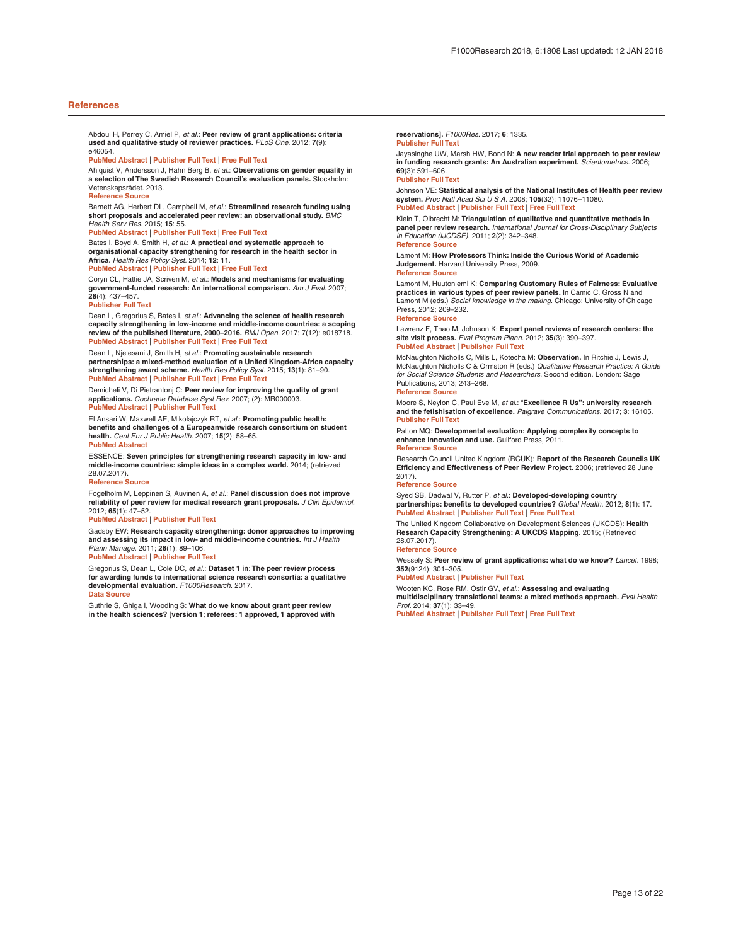#### <span id="page-12-0"></span>**References**

Abdoul H, Perrey C, Amiel P, *et al.*: **Peer review of grant applications: criteria used and qualitative study of reviewer practices.** *PLoS One.* 2012; **7**(9): e46054.

#### **PubMed [Abstract](http://www.ncbi.nlm.nih.gov/pubmed/23029386)** | **[Publisher](http://dx.doi.org/10.1371/journal.pone.0046054) Full Text** | **[Free](http://www.ncbi.nlm.nih.gov/pmc/articles/3460995) Full Text**

Ahlquist V, Andersson J, Hahn Berg B, *et al.*: **Observations on gender equality in a selection of The Swedish Research Council's evaluation panels.** Stockholm: Vetenskapsrådet. 2013.

#### **[Reference](https://publikationer.vr.se/en/product/observations-on-gender-equality-in-a-selection-of-the-swedish-research-councils-evaluation-panels-2012/) Source**

Barnett AG, Herbert DL, Campbell M, *et al.*: **Streamlined research funding using short proposals and accelerated peer review: an observational study.** *BMC Health Serv Res.* 2015; **15**: 55.

#### **PubMed [Abstract](http://www.ncbi.nlm.nih.gov/pubmed/25888975)** | **[Publisher](http://dx.doi.org/10.1186/s12913-015-0721-7) Full Text** | **[Free](http://www.ncbi.nlm.nih.gov/pmc/articles/4324047) Full Text**

Bates I, Boyd A, Smith H, *et al.*: **A practical and systematic approach to organisational capacity strengthening for research in the health sector in Africa.** *Health Res Policy Syst.* 2014; **12**: 11. **PubMed [Abstract](http://www.ncbi.nlm.nih.gov/pubmed/24581148)** | **[Publisher](http://dx.doi.org/10.1186/1478-4505-12-11) Full Text** | **[Free](http://www.ncbi.nlm.nih.gov/pmc/articles/3975897) Full Text**

Coryn CL, Hattie JA, Scriven M, *et al.*: **Models and mechanisms for evaluating government-funded research: An international comparison.** *Am J Eval.* 2007; **28**(4): 437–457.

#### **[Publisher](http://dx.doi.org/10.1177/1098214007308290) Full Text**

Dean L, Gregorius S, Bates I, *et al.*: **Advancing the science of health research capacity strengthening in low-income and middle-income countries: a scoping review of the published literature, 2000–2016.** *BMJ Open.* 2017; 7(12): e018718. **PubMed [Abstract](http://www.ncbi.nlm.nih.gov/pubmed/29217727)** | **[Publisher](http://dx.doi.org/10.1136/bmjopen-2017-018718) Full Text** | **[Free](http://www.ncbi.nlm.nih.gov/pmc/articles/5728300) Full Text**

Dean L, Njelesani J, Smith H, *et al.*: **Promoting sustainable research partnerships: a mixed-method evaluation of a United Kingdom-Africa capacity strengthening award scheme.** *Health Res Policy Syst.* 2015; **13**(1): 81–90. **PubMed [Abstract](http://www.ncbi.nlm.nih.gov/pubmed/26695073)** | **[Publisher](http://dx.doi.org/10.1186/s12961-015-0071-2) Full Text** | **[Free](http://www.ncbi.nlm.nih.gov/pmc/articles/4689047) Full Text**

Demicheli V, Di Pietrantonj C: **Peer review for improving the quality of grant applications.** *Cochrane Database Syst Rev.* 2007; (2): MR000003. **PubMed [Abstract](http://www.ncbi.nlm.nih.gov/pubmed/17443627)** | **[Publisher](http://dx.doi.org/10.1002/14651858.MR000003.pub2) Full Text**

El Ansari W, Maxwell AE, Mikolajczyk RT, *et al.*: **Promoting public health: benefits and challenges of a Europeanwide research consortium on student health.** *Cent Eur J Public Health.* 2007; **15**(2): 58–65. **PubMed [Abstract](http://www.ncbi.nlm.nih.gov/pubmed/17645218)**

ESSENCE: **Seven principles for strengthening research capacity in low- and middle-income countries: simple ideas in a complex world.** 2014; (retrieved 28.07.2017).

#### **[Reference](http://www.who.int/tdr/publications/Essence_report2014_OK.pdf?ua=1) Source**

Fogelholm M, Leppinen S, Auvinen A, *et al.*: **Panel discussion does not improve reliability of peer review for medical research grant proposals.** *J Clin Epidemiol.* 2012; **65**(1): 47–52.

#### **PubMed [Abstract](http://www.ncbi.nlm.nih.gov/pubmed/21831594)** | **[Publisher](http://dx.doi.org/10.1016/j.jclinepi.2011.05.001) Full Text**

Gadsby EW: **Research capacity strengthening: donor approaches to improving and assessing its impact in low- and middle-income countries.** *Int J Health Plann Manage.* 2011; **26**(1): 89–106.

#### **PubMed [Abstract](http://www.ncbi.nlm.nih.gov/pubmed/20422620)** | **[Publisher](http://dx.doi.org/10.1002/hpm.1031) Full Text**

Gregorius S, Dean L, Cole DC, *et al.*: **Dataset 1 in:The peer review process for awarding funds to international science research consortia: a qualitative developmental evaluation.** *F1000Research.* 2017. **Data [Source](http://dx.doi.org/10.5256/f1000research.12496.d178727)**

Guthrie S, Ghiga I, Wooding S: **What do we know about grant peer review in the health sciences? [version 1; referees: 1 approved, 1 approved with** **reservations].** *F1000Res.* 2017; **6**: 1335.

### **[Publisher](http://dx.doi.org/10.12688/f1000research.11917.1) Full Text**

Jayasinghe UW, Marsh HW, Bond N: **A new reader trial approach to peer review in funding research grants: An Australian experiment.** *Scientometrics.* 2006; **69**(3): 591–606.

#### **[Publisher](http://dx.doi.org/10.1007/s11192-006-0171-4) Full Text**

Johnson VE: **Statistical analysis of the National Institutes of Health peer review system.** *Proc Natl Acad Sci U S A.* 2008; **105**(32): 11076–11080. **PubMed [Abstract](http://www.ncbi.nlm.nih.gov/pubmed/18663221)** | **[Publisher](http://dx.doi.org/10.1073/pnas.0804538105) Full Text** | **[Free](http://www.ncbi.nlm.nih.gov/pmc/articles/2488382) Full Text**

Klein T, Olbrecht M: **Triangulation of qualitative and quantitative methods in panel peer review research.** *International Journal for Cross-Disciplinary Subjects in Education (IJCDSE).* 2011; **2**(2): 342–348. **[Reference](http://infonomics-society.org/wp-content/uploads/ijcdse/published-papers/volume-2-2011/Triangulation-of-Qualitative-and-Quantitative-Methods-in-Panel-Peer-Review-Research.pdf) Source**

Lamont M: **How Professors Think: Inside the Curious World of Academic Judgement.** Harvard University Press, 2009. **[Reference](http://www.cunyawards.org/wp-content/uploads/2015/07/Lamont-2009.pdf) Source**

Lamont M, Huutoniemi K: **Comparing Customary Rules of Fairness: Evaluative practices in various types of peer review panels.** In Camic C, Gross N and Lamont M (eds.) *Social knowledge in the making.* Chicago: University of Chicago Press, 2012; 209–232.

#### **[Reference](https://scholar.harvard.edu/files/lamont/files/chapter_six_-_lamont_huutoniemi.pdf) Source**

Lawrenz F, Thao M, Johnson K: **Expert panel reviews of research centers: the site visit process.** *Eval Program Plann.* 2012; **35**(3): 390–397. **PubMed [Abstract](http://www.ncbi.nlm.nih.gov/pubmed/22306932)** | **[Publisher](http://dx.doi.org/10.1016/j.evalprogplan.2012.01.003) Full Text**

McNaughton Nicholls C, Mills L, Kotecha M: **Observation.** In Ritchie J, Lewis J, McNaughton Nicholls C & Ormston R (eds.) *Qualitative Research Practice: A Guide for Social Science Students and Researchers.* Second edition. London: Sage Publications, 2013; 243–268.

#### **[Reference](https://books.google.co.in/books?id=EQSIAwAAQBAJ&pg=PA244#v=onepage&q&f=false) Source**

Moore S, Neylon C, Paul Eve M, *et al.*: "**Excellence R Us": university research and the fetishisation of excellence.** *Palgrave Communications.* 2017; **3**: 16105. **[Publisher](http://dx.doi.org/10.1057/palcomms.2016.105) Full Text**

Patton MQ: **Developmental evaluation: Applying complexity concepts to enhance innovation and use.** Guilford Press, 2011. **[Reference](https://books.google.co.in/books?id=gd_RvUbSWnsC&printsec=frontcover) Source**

Research Council United Kingdom (RCUK): Report of the Research Councils UK<br>Efficiency and Effectiveness of Peer Review Project. 2006; (retrieved 28 June 2017).

#### **[Reference](http://www.rcuk.ac.uk/documents/documents/rcukprreport-pdf/) Source**

Syed SB, Dadwal V, Rutter P, *et al.*: **Developed-developing country partnerships: benefits to developed countries?** *Global Health.* 2012; **8**(1): 17. **PubMed [Abstract](http://www.ncbi.nlm.nih.gov/pubmed/22709651)** | **[Publisher](http://dx.doi.org/10.1186/1744-8603-8-17) Full Text** | **[Free](http://www.ncbi.nlm.nih.gov/pmc/articles/3459713) Full Text**

The United Kingdom Collaborative on Development Sciences (UKCDS): **Health Research Capacity Strengthening: A UKCDS Mapping.** 2015; (Retrieved 28.07.2017).

### **[Reference](http://www.ukcds.org.uk/sites/default/files/content/resources/UKCDS_Health_Research_Capacity_Strengthening_Mapping.pdf) Source**

Wessely S: **Peer review of grant applications: what do we know?** *Lancet.* 1998; **352**(9124): 301–305.

# **PubMed [Abstract](http://www.ncbi.nlm.nih.gov/pubmed/9690424)** | **[Publisher](http://dx.doi.org/10.1016/S0140-6736(97)11129-1) Full Text**

Wooten KC, Rose RM, Ostir GV, *et al.*: **Assessing and evaluating**

**multidisciplinary translational teams: a mixed methods approach.** *Eval Health Prof.* 2014; **37**(1): 33–49.

**PubMed [Abstract](http://www.ncbi.nlm.nih.gov/pubmed/24064432)** | **[Publisher](http://dx.doi.org/10.1177/0163278713504433) Full Text** | **[Free](http://www.ncbi.nlm.nih.gov/pmc/articles/4180502) Full Text**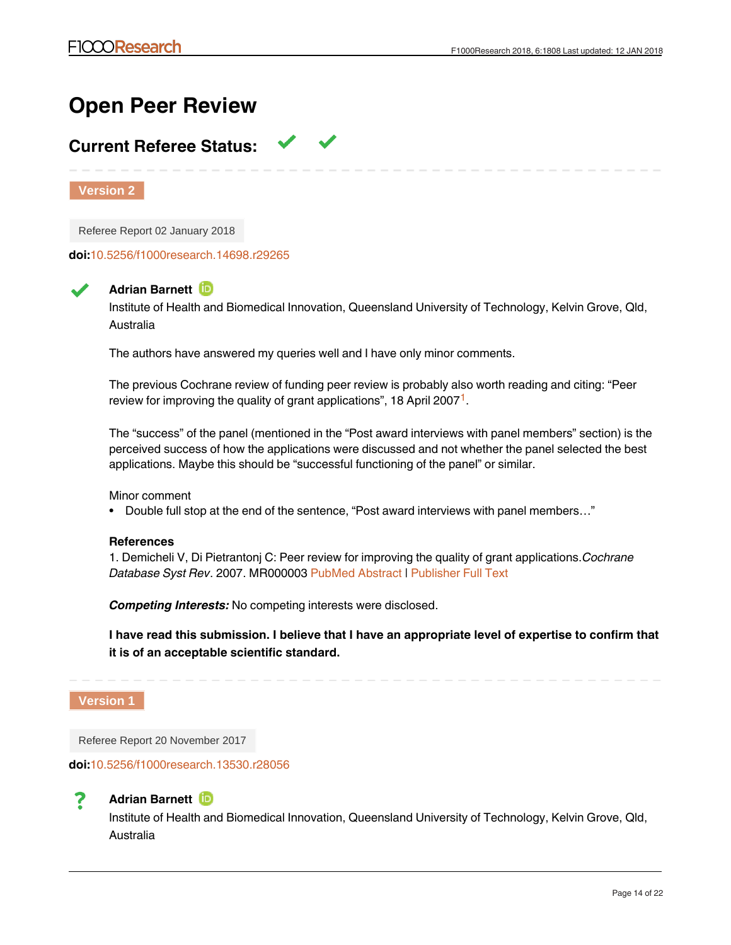# **Open Peer Review**

# **Current Referee Status:**

**Version 2**

Referee Report 02 January 2018

**doi:**[10.5256/f1000research.14698.r29265](http://dx.doi.org/10.5256/f1000research.14698.r29265)

# **Adrian Barnett**

Institute of Health and Biomedical Innovation, Queensland University of Technology, Kelvin Grove, Qld, Australia

The authors have answered my queries well and I have only minor comments.

The previous Cochrane review of funding peer review is probably also worth reading and citing: "Peer review for improving the quality of grant applications", [1](#page-13-0)8 April 2007 $^{\text{1}}$ .

The "success" of the panel (mentioned in the "Post award interviews with panel members" section) is the perceived success of how the applications were discussed and not whether the panel selected the best applications. Maybe this should be "successful functioning of the panel" or similar.

Minor comment

• Double full stop at the end of the sentence, "Post award interviews with panel members..."

# **References**

<span id="page-13-0"></span>1. Demicheli V, Di Pietrantonj C: Peer review for improving the quality of grant applications.*Cochrane Database Syst Rev*. 2007. MR000003 [PubMed Abstract](http://www.ncbi.nlm.nih.gov/pubmed/17443627) | [Publisher Full Text](http://dx.doi.org/10.1002/14651858.MR000003.pub2)

*Competing Interests:* No competing interests were disclosed.

**I have read this submission. I believe that I have an appropriate level of expertise to confirm that it is of an acceptable scientific standard.**

**Version 1**

Referee Report 20 November 2017

**doi:**[10.5256/f1000research.13530.r28056](http://dx.doi.org/10.5256/f1000research.13530.r28056)



# **Adrian Barnett**

Institute of Health and Biomedical Innovation, Queensland University of Technology, Kelvin Grove, Qld, Australia

It's good to read a thoughtful reflection on how per review panels function given the importance for  $\alpha$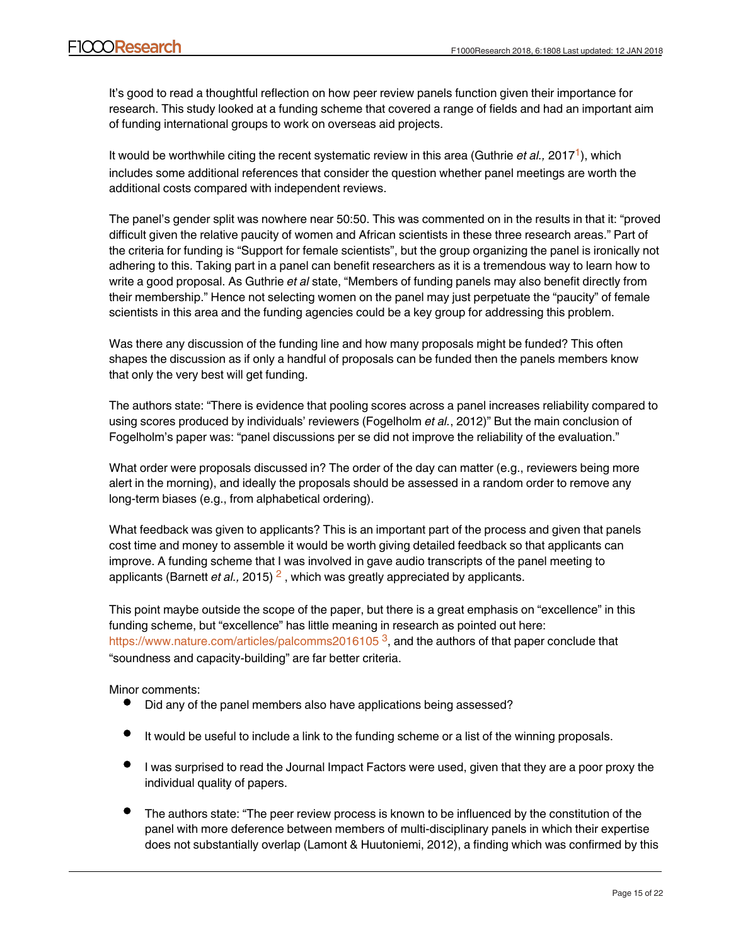It's good to read a thoughtful reflection on how peer review panels function given their importance for research. This study looked at a funding scheme that covered a range of fields and had an important aim of funding international groups to work on overseas aid projects.

It would be worthwhile citing the recent systematic review in this area (Guthrie *et al.,* 20[1](#page-15-0)7<sup>1</sup>), which includes some additional references that consider the question whether panel meetings are worth the additional costs compared with independent reviews.

The panel's gender split was nowhere near 50:50. This was commented on in the results in that it: "proved difficult given the relative paucity of women and African scientists in these three research areas." Part of the criteria for funding is "Support for female scientists", but the group organizing the panel is ironically not adhering to this. Taking part in a panel can benefit researchers as it is a tremendous way to learn how to write a good proposal. As Guthrie *et al* state, "Members of funding panels may also benefit directly from their membership." Hence not selecting women on the panel may just perpetuate the "paucity" of female scientists in this area and the funding agencies could be a key group for addressing this problem.

Was there any discussion of the funding line and how many proposals might be funded? This often shapes the discussion as if only a handful of proposals can be funded then the panels members know that only the very best will get funding.

The authors state: "There is evidence that pooling scores across a panel increases reliability compared to using scores produced by individuals' reviewers (Fogelholm *et al.*, 2012)" But the main conclusion of Fogelholm's paper was: "panel discussions per se did not improve the reliability of the evaluation."

What order were proposals discussed in? The order of the day can matter (e.g., reviewers being more alert in the morning), and ideally the proposals should be assessed in a random order to remove any long-term biases (e.g., from alphabetical ordering).

What feedback was given to applicants? This is an important part of the process and given that panels cost time and money to assemble it would be worth giving detailed feedback so that applicants can improve. A funding scheme that I was involved in gave audio transcripts of the panel meeting to applicants (Barnett *et al.,* [2](#page-15-1)015) <sup>2</sup>, which was greatly appreciated by applicants.

This point maybe outside the scope of the paper, but there is a great emphasis on "excellence" in this funding scheme, but "excellence" has little meaning in research as pointed out here: <https://www.nature.com/articles/palcomms2016105> <sup>[3](#page-15-2)</sup>, and the authors of that paper conclude that "soundness and capacity-building" are far better criteria.

Minor comments:

- Did any of the panel members also have applications being assessed?
- It would be useful to include a link to the funding scheme or a list of the winning proposals.
- I was surprised to read the Journal Impact Factors were used, given that they are a poor proxy the individual quality of papers.
- The authors state: "The peer review process is known to be influenced by the constitution of the panel with more deference between members of multi-disciplinary panels in which their expertise does not substantially overlap (Lamont & Huutoniemi, 2012), a finding which was confirmed by this

study. I did not read this as a major finding of this study and it was not highlighted in the results,  $\alpha$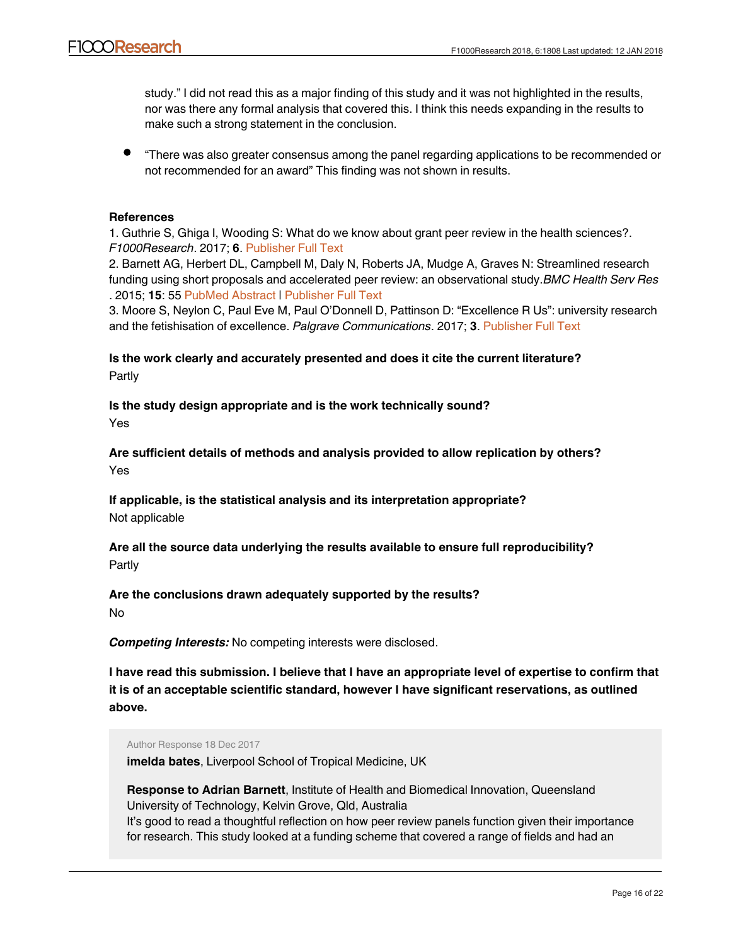study." I did not read this as a major finding of this study and it was not highlighted in the results, nor was there any formal analysis that covered this. I think this needs expanding in the results to make such a strong statement in the conclusion.

"There was also greater consensus among the panel regarding applications to be recommended or not recommended for an award" This finding was not shown in results.

# **References**

<span id="page-15-0"></span>1. Guthrie S, Ghiga I, Wooding S: What do we know about grant peer review in the health sciences?. *F1000Research*. 2017; **6**. [Publisher Full Text](http://dx.doi.org/10.12688/f1000research.11917.1)

<span id="page-15-1"></span>2. Barnett AG, Herbert DL, Campbell M, Daly N, Roberts JA, Mudge A, Graves N: Streamlined research funding using short proposals and accelerated peer review: an observational study.*BMC Health Serv Res* . 2015; **15**: 55 [PubMed Abstract](http://www.ncbi.nlm.nih.gov/pubmed/25888975) | [Publisher Full Text](http://dx.doi.org/10.1186/s12913-015-0721-7)

<span id="page-15-2"></span>3. Moore S, Neylon C, Paul Eve M, Paul O'Donnell D, Pattinson D: "Excellence R Us": university research and the fetishisation of excellence. *Palgrave Communications*. 2017; **3**. [Publisher Full Text](http://dx.doi.org/10.1057/palcomms.2016.105)

# **Is the work clearly and accurately presented and does it cite the current literature?** Partly

**Is the study design appropriate and is the work technically sound?**

Yes

**Are sufficient details of methods and analysis provided to allow replication by others?** Yes

**If applicable, is the statistical analysis and its interpretation appropriate?** Not applicable

**Are all the source data underlying the results available to ensure full reproducibility?** Partly

# **Are the conclusions drawn adequately supported by the results?**

No

*Competing Interests:* No competing interests were disclosed.

**I have read this submission. I believe that I have an appropriate level of expertise to confirm that it is of an acceptable scientific standard, however I have significant reservations, as outlined above.**

Author Response 18 Dec 2017

**imelda bates**, Liverpool School of Tropical Medicine, UK

**Response to Adrian Barnett**, Institute of Health and Biomedical Innovation, Queensland University of Technology, Kelvin Grove, Qld, Australia It's good to read a thoughtful reflection on how peer review panels function given their importance for research. This study looked at a funding scheme that covered a range of fields and had an

important aim of funding international groups to work on overseas aid projects.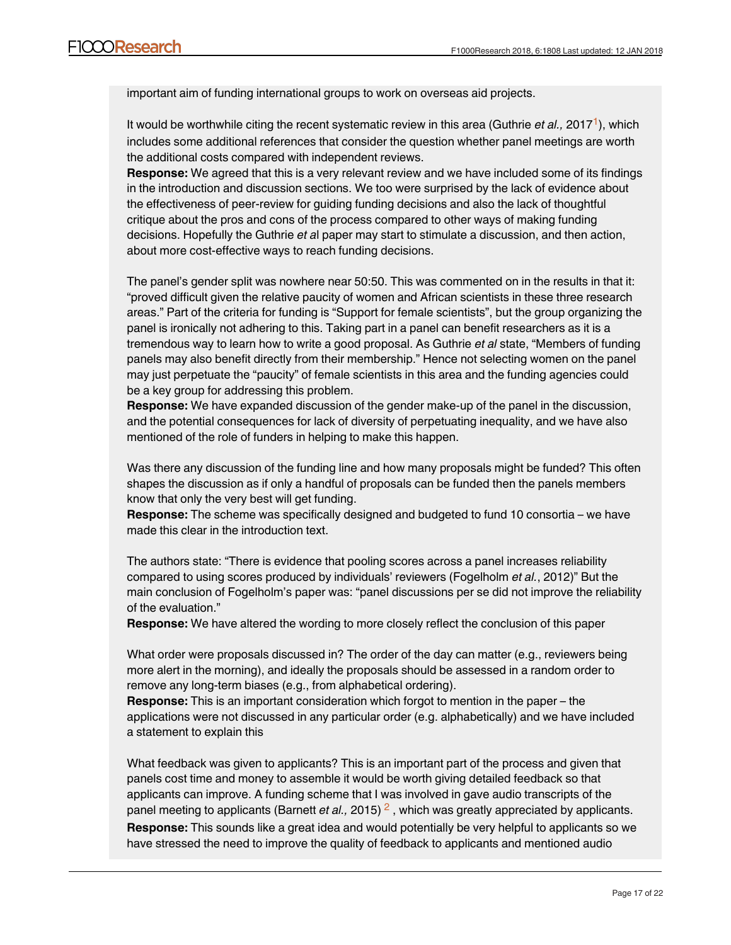important aim of funding international groups to work on overseas aid projects.

It would be worthwhile citing the recent systematic review in this area (Guthrie et al., 20[1](https://f1000research.com/articles/6-1808/v1#rep-ref-28056-1)7<sup>1</sup>), which includes some additional references that consider the question whether panel meetings are worth the additional costs compared with independent reviews.

**Response:** We agreed that this is a very relevant review and we have included some of its findings in the introduction and discussion sections. We too were surprised by the lack of evidence about the effectiveness of peer-review for guiding funding decisions and also the lack of thoughtful critique about the pros and cons of the process compared to other ways of making funding decisions. Hopefully the Guthrie *et a*l paper may start to stimulate a discussion, and then action, about more cost-effective ways to reach funding decisions.

The panel's gender split was nowhere near 50:50. This was commented on in the results in that it: "proved difficult given the relative paucity of women and African scientists in these three research areas." Part of the criteria for funding is "Support for female scientists", but the group organizing the panel is ironically not adhering to this. Taking part in a panel can benefit researchers as it is a tremendous way to learn how to write a good proposal. As Guthrie *et al* state, "Members of funding panels may also benefit directly from their membership." Hence not selecting women on the panel may just perpetuate the "paucity" of female scientists in this area and the funding agencies could be a key group for addressing this problem.

**Response:** We have expanded discussion of the gender make-up of the panel in the discussion, and the potential consequences for lack of diversity of perpetuating inequality, and we have also mentioned of the role of funders in helping to make this happen.

Was there any discussion of the funding line and how many proposals might be funded? This often shapes the discussion as if only a handful of proposals can be funded then the panels members know that only the very best will get funding.

**Response:** The scheme was specifically designed and budgeted to fund 10 consortia – we have made this clear in the introduction text.

The authors state: "There is evidence that pooling scores across a panel increases reliability compared to using scores produced by individuals' reviewers (Fogelholm *et al.*, 2012)" But the main conclusion of Fogelholm's paper was: "panel discussions per se did not improve the reliability of the evaluation."

**Response:** We have altered the wording to more closely reflect the conclusion of this paper

What order were proposals discussed in? The order of the day can matter (e.g., reviewers being more alert in the morning), and ideally the proposals should be assessed in a random order to remove any long-term biases (e.g., from alphabetical ordering).

**Response:** This is an important consideration which forgot to mention in the paper – the applications were not discussed in any particular order (e.g. alphabetically) and we have included a statement to explain this

What feedback was given to applicants? This is an important part of the process and given that panels cost time and money to assemble it would be worth giving detailed feedback so that applicants can improve. A funding scheme that I was involved in gave audio transcripts of the panel meeting to applicants (Barnett *et al.,* [2](https://f1000research.com/articles/6-1808/v1#rep-ref-28056-2)015) <sup>2</sup>, which was greatly appreciated by applicants. **Response:** This sounds like a great idea and would potentially be very helpful to applicants so we have stressed the need to improve the quality of feedback to applicants and mentioned audio

transcripts in the discussion.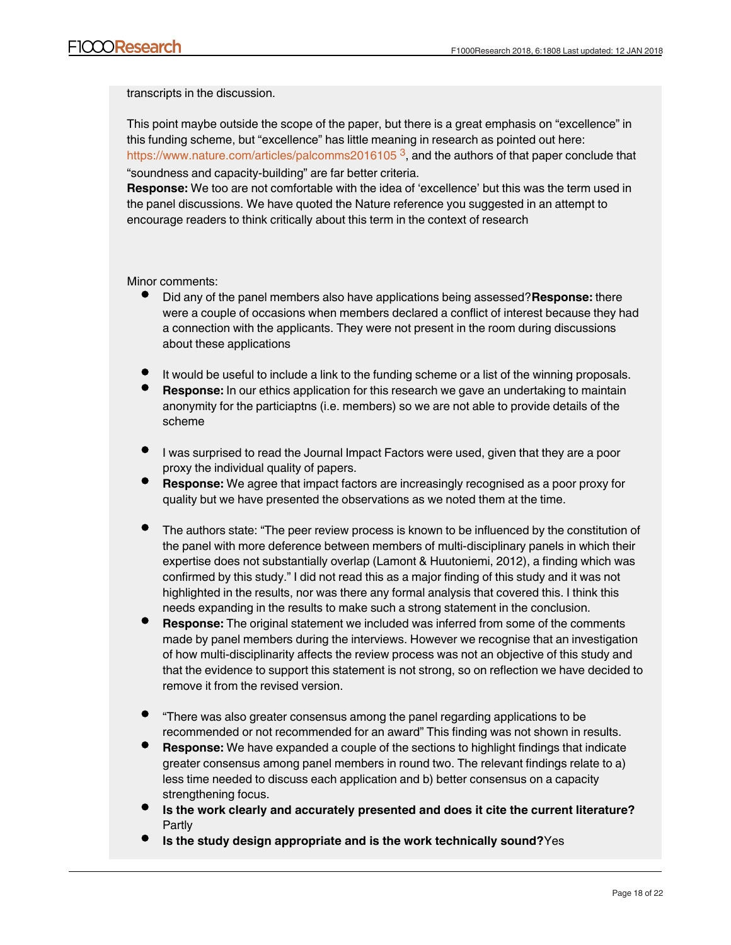transcripts in the discussion.

This point maybe outside the scope of the paper, but there is a great emphasis on "excellence" in this funding scheme, but "excellence" has little meaning in research as pointed out here: <https://www.nature.com/articles/palcomms2016105>  $^3$  $^3$ , and the authors of that paper conclude that "soundness and capacity-building" are far better criteria.

**Response:** We too are not comfortable with the idea of 'excellence' but this was the term used in the panel discussions. We have quoted the Nature reference you suggested in an attempt to encourage readers to think critically about this term in the context of research

Minor comments:

- Did any of the panel members also have applications being assessed?**Response:** there were a couple of occasions when members declared a conflict of interest because they had a connection with the applicants. They were not present in the room during discussions about these applications
- It would be useful to include a link to the funding scheme or a list of the winning proposals.
- **Response:** In our ethics application for this research we gave an undertaking to maintain anonymity for the particiaptns (i.e. members) so we are not able to provide details of the scheme
- I was surprised to read the Journal Impact Factors were used, given that they are a poor proxy the individual quality of papers.
- **Response:** We agree that impact factors are increasingly recognised as a poor proxy for quality but we have presented the observations as we noted them at the time.
- The authors state: "The peer review process is known to be influenced by the constitution of the panel with more deference between members of multi-disciplinary panels in which their expertise does not substantially overlap (Lamont & Huutoniemi, 2012), a finding which was confirmed by this study." I did not read this as a major finding of this study and it was not highlighted in the results, nor was there any formal analysis that covered this. I think this needs expanding in the results to make such a strong statement in the conclusion.
- **Response:** The original statement we included was inferred from some of the comments made by panel members during the interviews. However we recognise that an investigation of how multi-disciplinarity affects the review process was not an objective of this study and that the evidence to support this statement is not strong, so on reflection we have decided to remove it from the revised version.
- "There was also greater consensus among the panel regarding applications to be recommended or not recommended for an award" This finding was not shown in results.
- **Response:** We have expanded a couple of the sections to highlight findings that indicate greater consensus among panel members in round two. The relevant findings relate to a) less time needed to discuss each application and b) better consensus on a capacity strengthening focus.
- **Is the work clearly and accurately presented and does it cite the current literature?** Partly

**Are sufficient details of methods and analysis provided to allow replication by**

**Is the study design appropriate and is the work technically sound?**Yes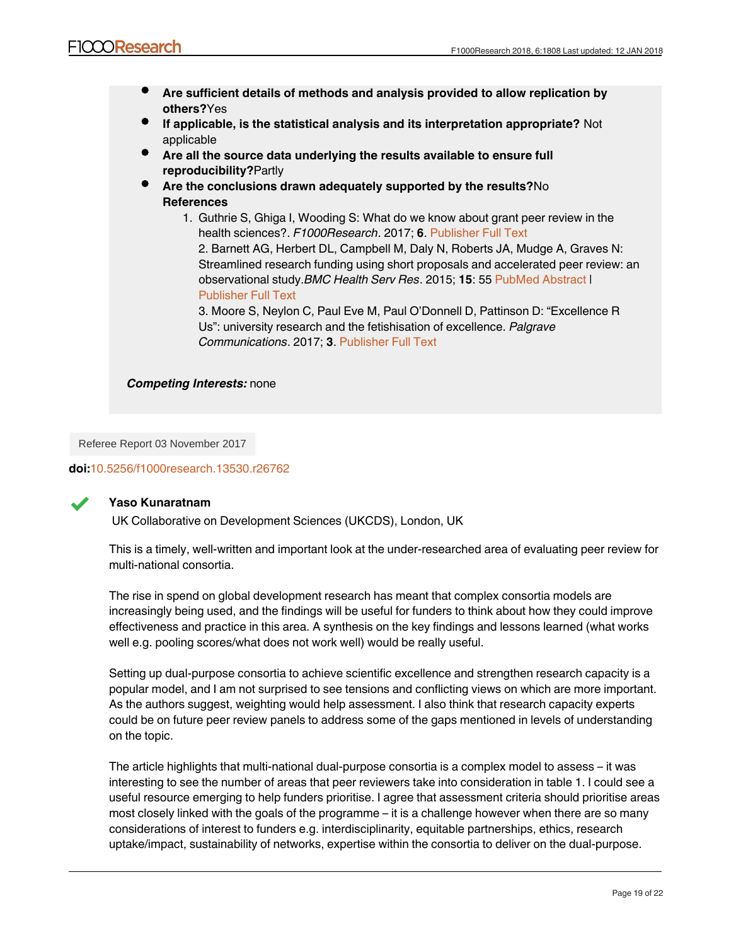- **Are sufficient details of methods and analysis provided to allow replication by others?**Yes
- **If applicable, is the statistical analysis and its interpretation appropriate?** Not applicable
- **Are all the source data underlying the results available to ensure full reproducibility?**Partly
- **Are the conclusions drawn adequately supported by the results?**No **References**
	- 1. Guthrie S, Ghiga I, Wooding S: What do we know about grant peer review in the health sciences?. *F1000Research*. 2017; **6**. [Publisher Full Text](http://dx.doi.org/10.12688/f1000research.11917.1)

2. Barnett AG, Herbert DL, Campbell M, Daly N, Roberts JA, Mudge A, Graves N: Streamlined research funding using short proposals and accelerated peer review: an observational study.*BMC Health Serv Res*. 2015; **15**: 55 [PubMed Abstract](http://www.ncbi.nlm.nih.gov/pubmed/25888975) | [Publisher Full Text](http://dx.doi.org/10.1186/s12913-015-0721-7)

3. Moore S, Neylon C, Paul Eve M, Paul O'Donnell D, Pattinson D: "Excellence R Us": university research and the fetishisation of excellence. *Palgrave Communications*. 2017; **3**. [Publisher Full Text](http://dx.doi.org/10.1057/palcomms.2016.105)

*Competing Interests:* none

Referee Report 03 November 2017

# **doi:**[10.5256/f1000research.13530.r26762](http://dx.doi.org/10.5256/f1000research.13530.r26762)



# **Yaso Kunaratnam**

UK Collaborative on Development Sciences (UKCDS), London, UK

This is a timely, well-written and important look at the under-researched area of evaluating peer review for multi-national consortia.

The rise in spend on global development research has meant that complex consortia models are increasingly being used, and the findings will be useful for funders to think about how they could improve effectiveness and practice in this area. A synthesis on the key findings and lessons learned (what works well e.g. pooling scores/what does not work well) would be really useful.

Setting up dual-purpose consortia to achieve scientific excellence and strengthen research capacity is a popular model, and I am not surprised to see tensions and conflicting views on which are more important. As the authors suggest, weighting would help assessment. I also think that research capacity experts could be on future peer review panels to address some of the gaps mentioned in levels of understanding on the topic.

The article highlights that multi-national dual-purpose consortia is a complex model to assess – it was interesting to see the number of areas that peer reviewers take into consideration in table 1. I could see a useful resource emerging to help funders prioritise. I agree that assessment criteria should prioritise areas most closely linked with the goals of the programme – it is a challenge however when there are so many considerations of interest to funders e.g. interdisciplinarity, equitable partnerships, ethics, research uptake/impact, sustainability of networks, expertise within the consortia to deliver on the dual-purpose.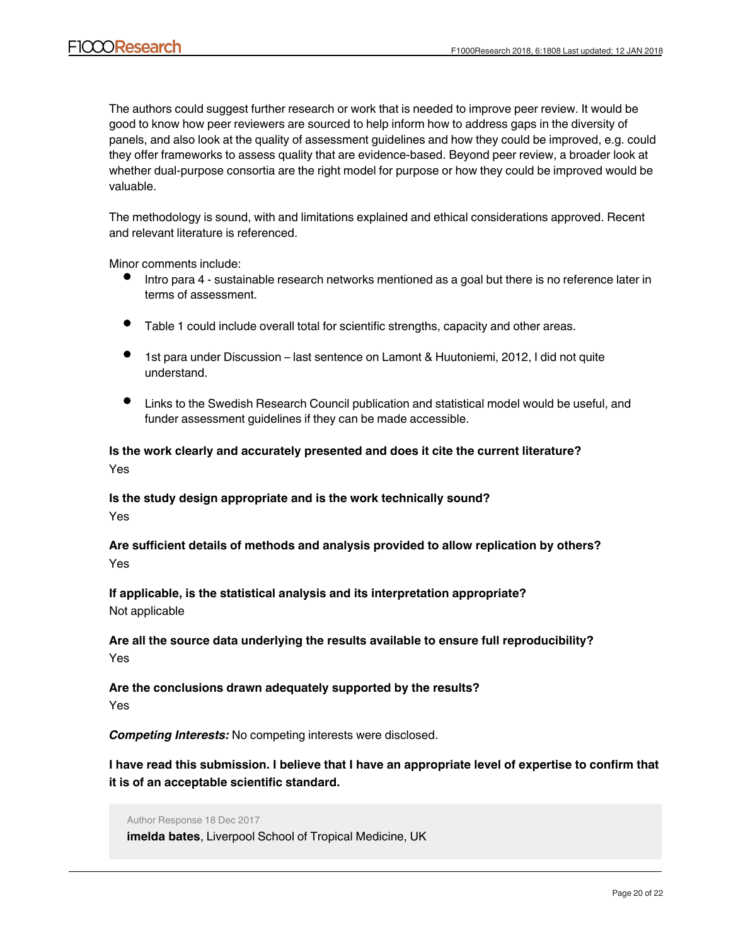The authors could suggest further research or work that is needed to improve peer review. It would be good to know how peer reviewers are sourced to help inform how to address gaps in the diversity of panels, and also look at the quality of assessment guidelines and how they could be improved, e.g. could they offer frameworks to assess quality that are evidence-based. Beyond peer review, a broader look at whether dual-purpose consortia are the right model for purpose or how they could be improved would be valuable.

The methodology is sound, with and limitations explained and ethical considerations approved. Recent and relevant literature is referenced.

Minor comments include:

- Intro para 4 sustainable research networks mentioned as a goal but there is no reference later in terms of assessment.
- Table 1 could include overall total for scientific strengths, capacity and other areas.
- 1st para under Discussion last sentence on Lamont & Huutoniemi, 2012, I did not quite understand.
- Links to the Swedish Research Council publication and statistical model would be useful, and funder assessment guidelines if they can be made accessible.

# **Is the work clearly and accurately presented and does it cite the current literature?** Yes

**Is the study design appropriate and is the work technically sound?** Yes

**Are sufficient details of methods and analysis provided to allow replication by others?** Yes

**If applicable, is the statistical analysis and its interpretation appropriate?** Not applicable

**Are all the source data underlying the results available to ensure full reproducibility?** Yes

**Are the conclusions drawn adequately supported by the results?** Yes

*Competing Interests:* No competing interests were disclosed.

**I have read this submission. I believe that I have an appropriate level of expertise to confirm that it is of an acceptable scientific standard.**

**Response to Yaso Kunaratnam**, UK Collaborative on Development Sciences (UKCDS),

Author Response 18 Dec 2017 **imelda bates**, Liverpool School of Tropical Medicine, UK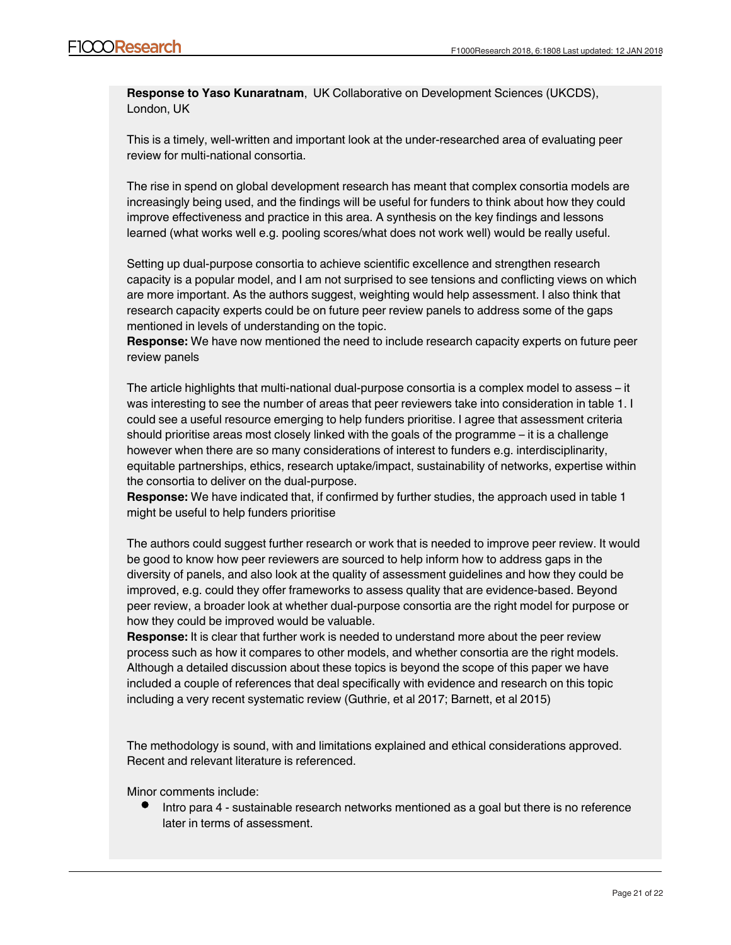**Response to Yaso Kunaratnam**, UK Collaborative on Development Sciences (UKCDS), London, UK

This is a timely, well-written and important look at the under-researched area of evaluating peer review for multi-national consortia.

The rise in spend on global development research has meant that complex consortia models are increasingly being used, and the findings will be useful for funders to think about how they could improve effectiveness and practice in this area. A synthesis on the key findings and lessons learned (what works well e.g. pooling scores/what does not work well) would be really useful.

Setting up dual-purpose consortia to achieve scientific excellence and strengthen research capacity is a popular model, and I am not surprised to see tensions and conflicting views on which are more important. As the authors suggest, weighting would help assessment. I also think that research capacity experts could be on future peer review panels to address some of the gaps mentioned in levels of understanding on the topic.

**Response:** We have now mentioned the need to include research capacity experts on future peer review panels

The article highlights that multi-national dual-purpose consortia is a complex model to assess – it was interesting to see the number of areas that peer reviewers take into consideration in table 1. I could see a useful resource emerging to help funders prioritise. I agree that assessment criteria should prioritise areas most closely linked with the goals of the programme – it is a challenge however when there are so many considerations of interest to funders e.g. interdisciplinarity, equitable partnerships, ethics, research uptake/impact, sustainability of networks, expertise within the consortia to deliver on the dual-purpose.

**Response:** We have indicated that, if confirmed by further studies, the approach used in table 1 might be useful to help funders prioritise

The authors could suggest further research or work that is needed to improve peer review. It would be good to know how peer reviewers are sourced to help inform how to address gaps in the diversity of panels, and also look at the quality of assessment guidelines and how they could be improved, e.g. could they offer frameworks to assess quality that are evidence-based. Beyond peer review, a broader look at whether dual-purpose consortia are the right model for purpose or how they could be improved would be valuable.

**Response:** It is clear that further work is needed to understand more about the peer review process such as how it compares to other models, and whether consortia are the right models. Although a detailed discussion about these topics is beyond the scope of this paper we have included a couple of references that deal specifically with evidence and research on this topic including a very recent systematic review (Guthrie, et al 2017; Barnett, et al 2015)

The methodology is sound, with and limitations explained and ethical considerations approved. Recent and relevant literature is referenced.

Minor comments include:

Intro para 4 - sustainable research networks mentioned as a goal but there is no reference later in terms of assessment.

**Response:** Networks were not discussed by the panel members and we have stated this in